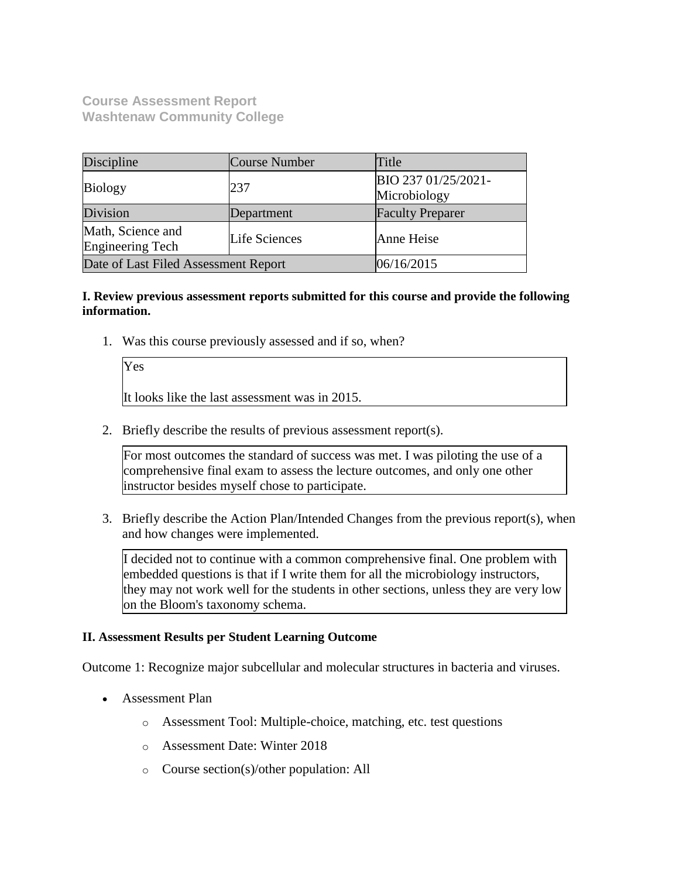**Course Assessment Report Washtenaw Community College**

| Discipline                                   | <b>Course Number</b> | Title                               |
|----------------------------------------------|----------------------|-------------------------------------|
| <b>Biology</b>                               | 237                  | BIO 237 01/25/2021-<br>Microbiology |
| Division                                     | Department           | <b>Faculty Preparer</b>             |
| Math, Science and<br><b>Engineering Tech</b> | Life Sciences        | Anne Heise                          |
| Date of Last Filed Assessment Report         |                      | 06/16/2015                          |

# **I. Review previous assessment reports submitted for this course and provide the following information.**

1. Was this course previously assessed and if so, when?

Yes It looks like the last assessment was in 2015.

2. Briefly describe the results of previous assessment report(s).

For most outcomes the standard of success was met. I was piloting the use of a comprehensive final exam to assess the lecture outcomes, and only one other instructor besides myself chose to participate.

3. Briefly describe the Action Plan/Intended Changes from the previous report(s), when and how changes were implemented.

I decided not to continue with a common comprehensive final. One problem with embedded questions is that if I write them for all the microbiology instructors, they may not work well for the students in other sections, unless they are very low on the Bloom's taxonomy schema.

# **II. Assessment Results per Student Learning Outcome**

Outcome 1: Recognize major subcellular and molecular structures in bacteria and viruses.

- Assessment Plan
	- o Assessment Tool: Multiple-choice, matching, etc. test questions
	- o Assessment Date: Winter 2018
	- o Course section(s)/other population: All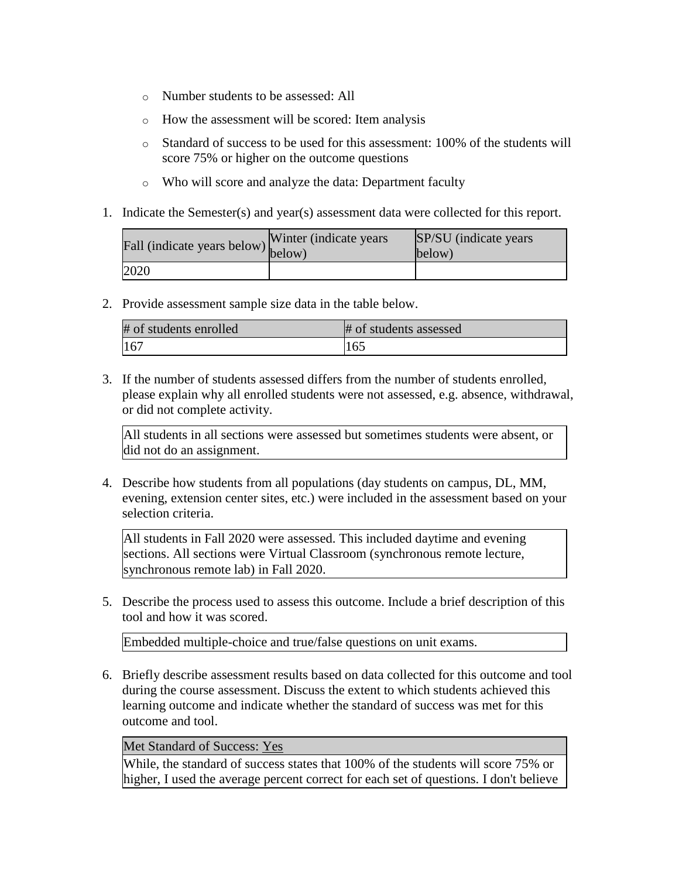- o Number students to be assessed: All
- o How the assessment will be scored: Item analysis
- $\circ$  Standard of success to be used for this assessment: 100% of the students will score 75% or higher on the outcome questions
- o Who will score and analyze the data: Department faculty
- 1. Indicate the Semester(s) and year(s) assessment data were collected for this report.

| Fall (indicate years below) below) | Winter (indicate years) | SP/SU (indicate years)<br>below) |
|------------------------------------|-------------------------|----------------------------------|
| 2020                               |                         |                                  |

2. Provide assessment sample size data in the table below.

| # of students enrolled | # of students assessed |
|------------------------|------------------------|
| 167                    | 165                    |

3. If the number of students assessed differs from the number of students enrolled, please explain why all enrolled students were not assessed, e.g. absence, withdrawal, or did not complete activity.

All students in all sections were assessed but sometimes students were absent, or did not do an assignment.

4. Describe how students from all populations (day students on campus, DL, MM, evening, extension center sites, etc.) were included in the assessment based on your selection criteria.

All students in Fall 2020 were assessed. This included daytime and evening sections. All sections were Virtual Classroom (synchronous remote lecture, synchronous remote lab) in Fall 2020.

5. Describe the process used to assess this outcome. Include a brief description of this tool and how it was scored.

Embedded multiple-choice and true/false questions on unit exams.

6. Briefly describe assessment results based on data collected for this outcome and tool during the course assessment. Discuss the extent to which students achieved this learning outcome and indicate whether the standard of success was met for this outcome and tool.

### Met Standard of Success: Yes

While, the standard of success states that 100% of the students will score 75% or higher, I used the average percent correct for each set of questions. I don't believe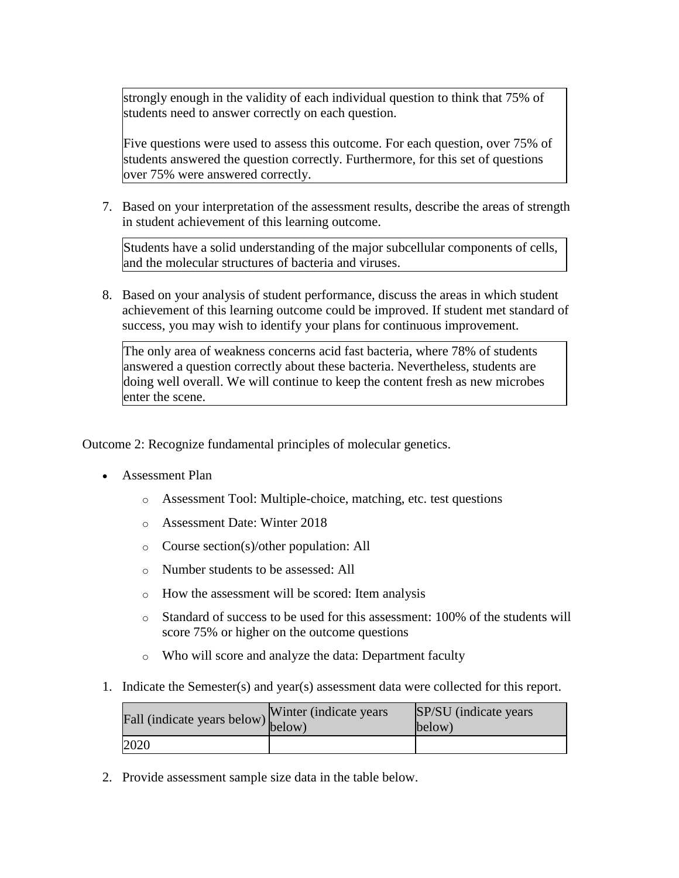strongly enough in the validity of each individual question to think that 75% of students need to answer correctly on each question.

Five questions were used to assess this outcome. For each question, over 75% of students answered the question correctly. Furthermore, for this set of questions over 75% were answered correctly.

7. Based on your interpretation of the assessment results, describe the areas of strength in student achievement of this learning outcome.

Students have a solid understanding of the major subcellular components of cells, and the molecular structures of bacteria and viruses.

8. Based on your analysis of student performance, discuss the areas in which student achievement of this learning outcome could be improved. If student met standard of success, you may wish to identify your plans for continuous improvement.

The only area of weakness concerns acid fast bacteria, where 78% of students answered a question correctly about these bacteria. Nevertheless, students are doing well overall. We will continue to keep the content fresh as new microbes enter the scene.

Outcome 2: Recognize fundamental principles of molecular genetics.

- Assessment Plan
	- o Assessment Tool: Multiple-choice, matching, etc. test questions
	- o Assessment Date: Winter 2018
	- o Course section(s)/other population: All
	- o Number students to be assessed: All
	- o How the assessment will be scored: Item analysis
	- o Standard of success to be used for this assessment: 100% of the students will score 75% or higher on the outcome questions
	- o Who will score and analyze the data: Department faculty
- 1. Indicate the Semester(s) and year(s) assessment data were collected for this report.

| riall (indicate years below) below) | Winter (indicate years) | SP/SU (indicate years)<br>below) |
|-------------------------------------|-------------------------|----------------------------------|
| 2020                                |                         |                                  |

2. Provide assessment sample size data in the table below.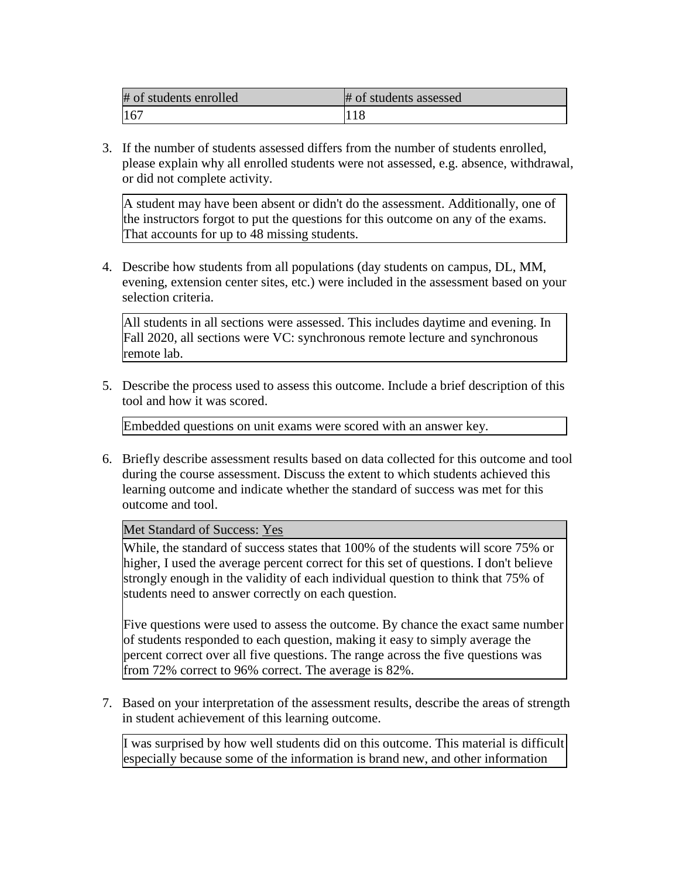| # of students enrolled | # of students assessed |
|------------------------|------------------------|
| 167                    |                        |

3. If the number of students assessed differs from the number of students enrolled, please explain why all enrolled students were not assessed, e.g. absence, withdrawal, or did not complete activity.

A student may have been absent or didn't do the assessment. Additionally, one of the instructors forgot to put the questions for this outcome on any of the exams. That accounts for up to 48 missing students.

4. Describe how students from all populations (day students on campus, DL, MM, evening, extension center sites, etc.) were included in the assessment based on your selection criteria.

All students in all sections were assessed. This includes daytime and evening. In Fall 2020, all sections were VC: synchronous remote lecture and synchronous remote lab.

5. Describe the process used to assess this outcome. Include a brief description of this tool and how it was scored.

Embedded questions on unit exams were scored with an answer key.

6. Briefly describe assessment results based on data collected for this outcome and tool during the course assessment. Discuss the extent to which students achieved this learning outcome and indicate whether the standard of success was met for this outcome and tool.

Met Standard of Success: Yes

While, the standard of success states that 100% of the students will score 75% or higher, I used the average percent correct for this set of questions. I don't believe strongly enough in the validity of each individual question to think that 75% of students need to answer correctly on each question.

Five questions were used to assess the outcome. By chance the exact same number of students responded to each question, making it easy to simply average the percent correct over all five questions. The range across the five questions was from 72% correct to 96% correct. The average is 82%.

7. Based on your interpretation of the assessment results, describe the areas of strength in student achievement of this learning outcome.

I was surprised by how well students did on this outcome. This material is difficult especially because some of the information is brand new, and other information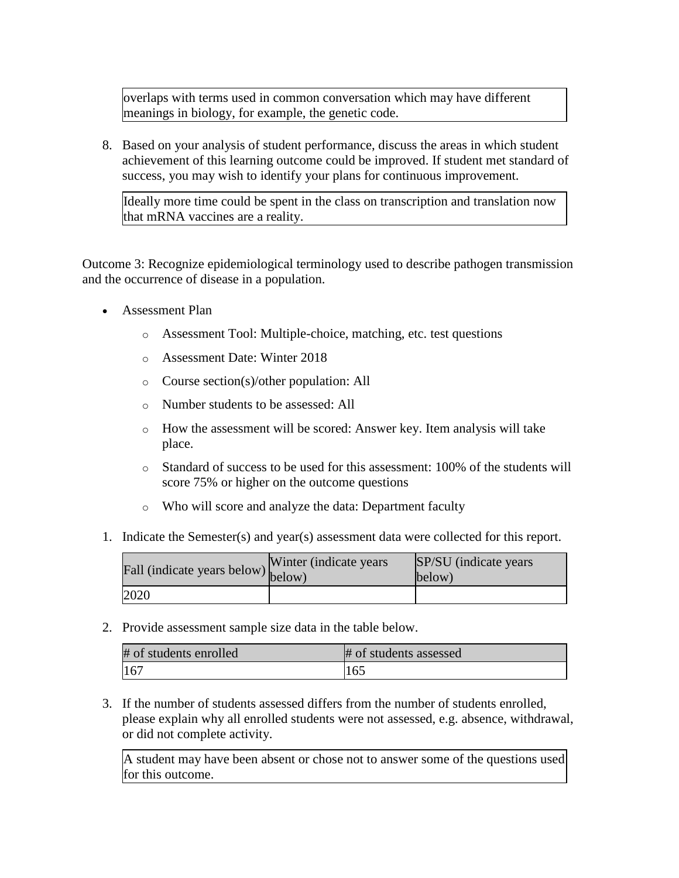overlaps with terms used in common conversation which may have different meanings in biology, for example, the genetic code.

8. Based on your analysis of student performance, discuss the areas in which student achievement of this learning outcome could be improved. If student met standard of success, you may wish to identify your plans for continuous improvement.

Ideally more time could be spent in the class on transcription and translation now that mRNA vaccines are a reality.

Outcome 3: Recognize epidemiological terminology used to describe pathogen transmission and the occurrence of disease in a population.

- Assessment Plan
	- o Assessment Tool: Multiple-choice, matching, etc. test questions
	- o Assessment Date: Winter 2018
	- o Course section(s)/other population: All
	- o Number students to be assessed: All
	- o How the assessment will be scored: Answer key. Item analysis will take place.
	- o Standard of success to be used for this assessment: 100% of the students will score 75% or higher on the outcome questions
	- o Who will score and analyze the data: Department faculty
- 1. Indicate the Semester(s) and year(s) assessment data were collected for this report.

| riall (indicate years below) below) | Winter (indicate years) | SP/SU (indicate years)<br>below) |
|-------------------------------------|-------------------------|----------------------------------|
| 2020                                |                         |                                  |

2. Provide assessment sample size data in the table below.

| # of students enrolled | # of students assessed |
|------------------------|------------------------|
| 167                    | 165                    |

3. If the number of students assessed differs from the number of students enrolled, please explain why all enrolled students were not assessed, e.g. absence, withdrawal, or did not complete activity.

A student may have been absent or chose not to answer some of the questions used for this outcome.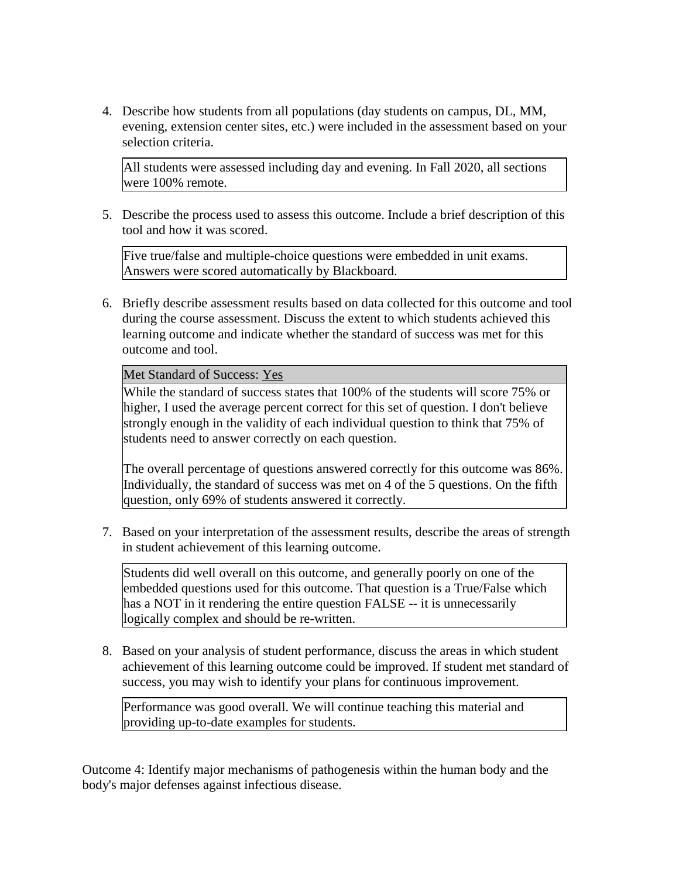4. Describe how students from all populations (day students on campus, DL, MM, evening, extension center sites, etc.) were included in the assessment based on your selection criteria.

All students were assessed including day and evening. In Fall 2020, all sections were 100% remote.

5. Describe the process used to assess this outcome. Include a brief description of this tool and how it was scored.

Five true/false and multiple-choice questions were embedded in unit exams. Answers were scored automatically by Blackboard.

6. Briefly describe assessment results based on data collected for this outcome and tool during the course assessment. Discuss the extent to which students achieved this learning outcome and indicate whether the standard of success was met for this outcome and tool.

Met Standard of Success: Yes

While the standard of success states that 100% of the students will score 75% or higher, I used the average percent correct for this set of question. I don't believe strongly enough in the validity of each individual question to think that 75% of students need to answer correctly on each question.

The overall percentage of questions answered correctly for this outcome was 86%. Individually, the standard of success was met on 4 of the 5 questions. On the fifth question, only 69% of students answered it correctly.

7. Based on your interpretation of the assessment results, describe the areas of strength in student achievement of this learning outcome.

Students did well overall on this outcome, and generally poorly on one of the embedded questions used for this outcome. That question is a True/False which has a NOT in it rendering the entire question FALSE -- it is unnecessarily logically complex and should be re-written.

8. Based on your analysis of student performance, discuss the areas in which student achievement of this learning outcome could be improved. If student met standard of success, you may wish to identify your plans for continuous improvement.

Performance was good overall. We will continue teaching this material and providing up-to-date examples for students.

Outcome 4: Identify major mechanisms of pathogenesis within the human body and the body's major defenses against infectious disease.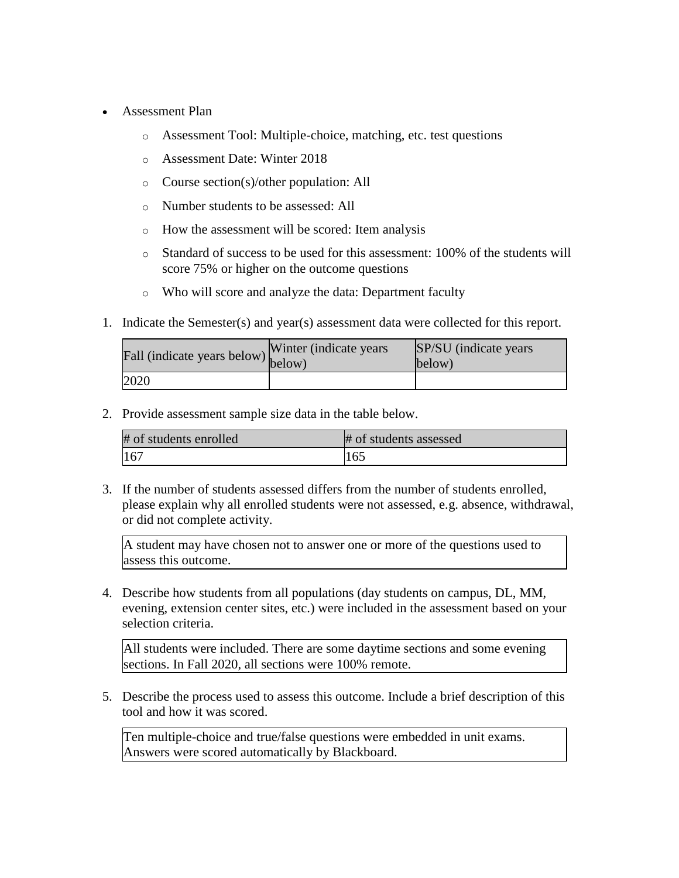- Assessment Plan
	- o Assessment Tool: Multiple-choice, matching, etc. test questions
	- o Assessment Date: Winter 2018
	- o Course section(s)/other population: All
	- o Number students to be assessed: All
	- o How the assessment will be scored: Item analysis
	- o Standard of success to be used for this assessment: 100% of the students will score 75% or higher on the outcome questions
	- o Who will score and analyze the data: Department faculty
- 1. Indicate the Semester(s) and year(s) assessment data were collected for this report.

| Fall (indicate years below) below) | Winter (indicate years) | SP/SU (indicate years)<br>below) |
|------------------------------------|-------------------------|----------------------------------|
| 2020                               |                         |                                  |

2. Provide assessment sample size data in the table below.

| # of students enrolled | # of students assessed |
|------------------------|------------------------|
| 167                    | 165                    |

3. If the number of students assessed differs from the number of students enrolled, please explain why all enrolled students were not assessed, e.g. absence, withdrawal, or did not complete activity.

A student may have chosen not to answer one or more of the questions used to assess this outcome.

4. Describe how students from all populations (day students on campus, DL, MM, evening, extension center sites, etc.) were included in the assessment based on your selection criteria.

All students were included. There are some daytime sections and some evening sections. In Fall 2020, all sections were 100% remote.

5. Describe the process used to assess this outcome. Include a brief description of this tool and how it was scored.

Ten multiple-choice and true/false questions were embedded in unit exams. Answers were scored automatically by Blackboard.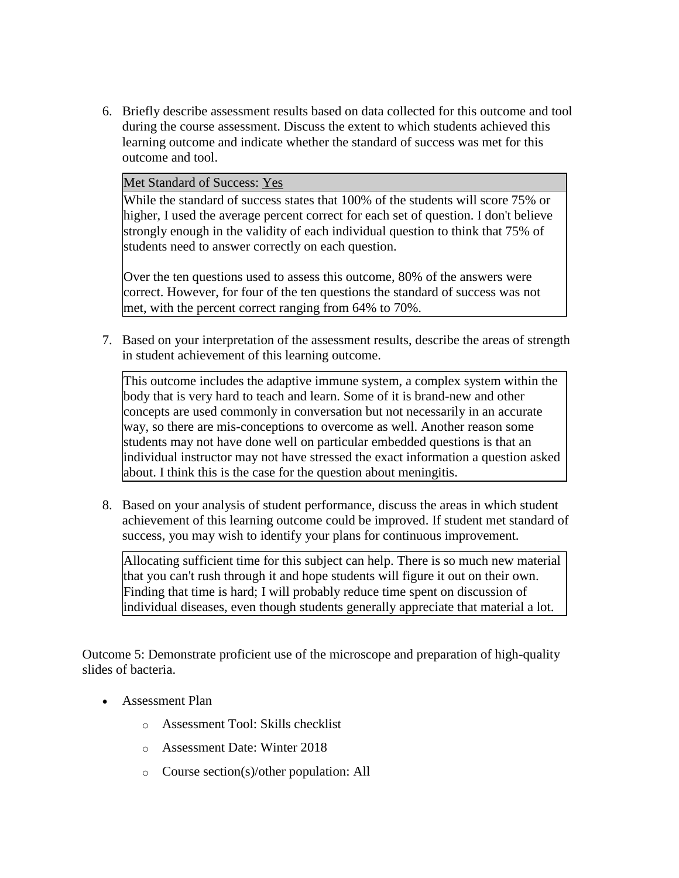6. Briefly describe assessment results based on data collected for this outcome and tool during the course assessment. Discuss the extent to which students achieved this learning outcome and indicate whether the standard of success was met for this outcome and tool.

## Met Standard of Success: Yes

While the standard of success states that 100% of the students will score 75% or higher, I used the average percent correct for each set of question. I don't believe strongly enough in the validity of each individual question to think that 75% of students need to answer correctly on each question.

Over the ten questions used to assess this outcome, 80% of the answers were correct. However, for four of the ten questions the standard of success was not met, with the percent correct ranging from 64% to 70%.

7. Based on your interpretation of the assessment results, describe the areas of strength in student achievement of this learning outcome.

This outcome includes the adaptive immune system, a complex system within the body that is very hard to teach and learn. Some of it is brand-new and other concepts are used commonly in conversation but not necessarily in an accurate way, so there are mis-conceptions to overcome as well. Another reason some students may not have done well on particular embedded questions is that an individual instructor may not have stressed the exact information a question asked about. I think this is the case for the question about meningitis.

8. Based on your analysis of student performance, discuss the areas in which student achievement of this learning outcome could be improved. If student met standard of success, you may wish to identify your plans for continuous improvement.

Allocating sufficient time for this subject can help. There is so much new material that you can't rush through it and hope students will figure it out on their own. Finding that time is hard; I will probably reduce time spent on discussion of individual diseases, even though students generally appreciate that material a lot.

Outcome 5: Demonstrate proficient use of the microscope and preparation of high-quality slides of bacteria.

- Assessment Plan
	- o Assessment Tool: Skills checklist
	- o Assessment Date: Winter 2018
	- o Course section(s)/other population: All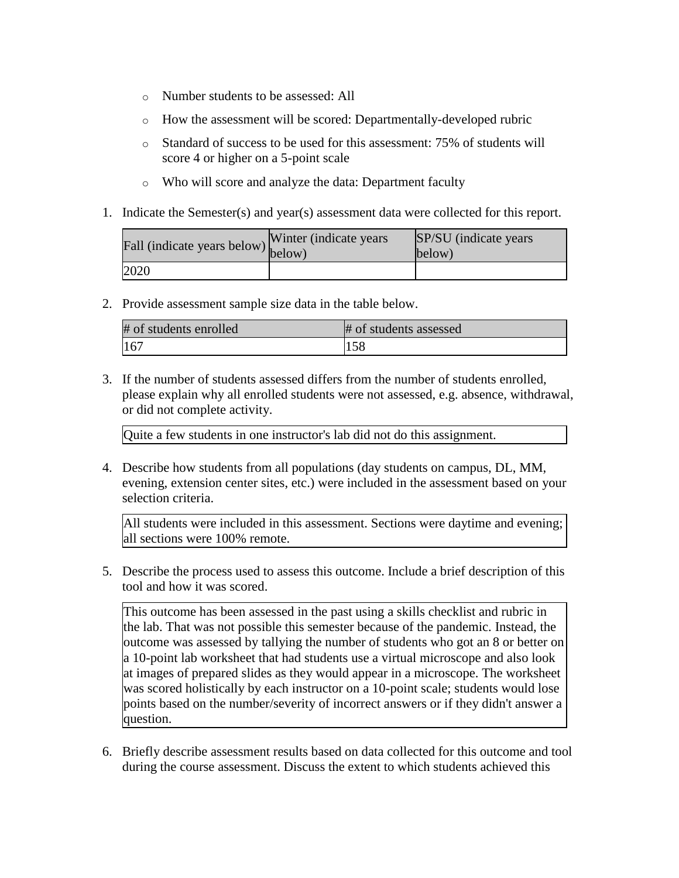- o Number students to be assessed: All
- o How the assessment will be scored: Departmentally-developed rubric
- o Standard of success to be used for this assessment: 75% of students will score 4 or higher on a 5-point scale
- o Who will score and analyze the data: Department faculty
- 1. Indicate the Semester(s) and year(s) assessment data were collected for this report.

| Fall (indicate years below) below) | Winter (indicate years) | SP/SU (indicate years)<br>below) |
|------------------------------------|-------------------------|----------------------------------|
| 2020                               |                         |                                  |

2. Provide assessment sample size data in the table below.

| # of students enrolled | # of students assessed |
|------------------------|------------------------|
| 167                    | 158                    |

3. If the number of students assessed differs from the number of students enrolled, please explain why all enrolled students were not assessed, e.g. absence, withdrawal, or did not complete activity.

Quite a few students in one instructor's lab did not do this assignment.

4. Describe how students from all populations (day students on campus, DL, MM, evening, extension center sites, etc.) were included in the assessment based on your selection criteria.

All students were included in this assessment. Sections were daytime and evening; all sections were 100% remote.

5. Describe the process used to assess this outcome. Include a brief description of this tool and how it was scored.

This outcome has been assessed in the past using a skills checklist and rubric in the lab. That was not possible this semester because of the pandemic. Instead, the outcome was assessed by tallying the number of students who got an 8 or better on a 10-point lab worksheet that had students use a virtual microscope and also look at images of prepared slides as they would appear in a microscope. The worksheet was scored holistically by each instructor on a 10-point scale; students would lose points based on the number/severity of incorrect answers or if they didn't answer a question.

6. Briefly describe assessment results based on data collected for this outcome and tool during the course assessment. Discuss the extent to which students achieved this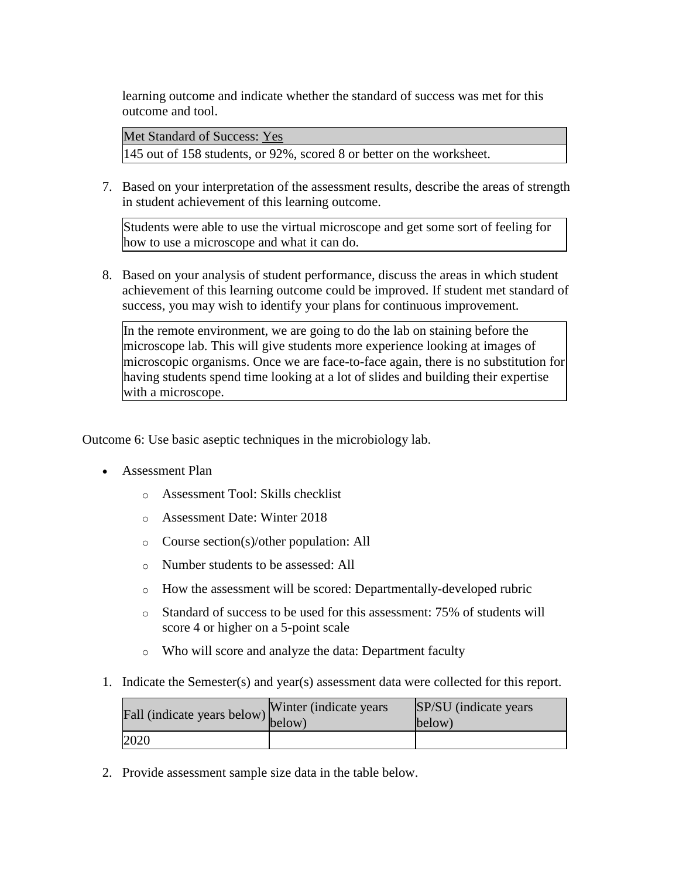learning outcome and indicate whether the standard of success was met for this outcome and tool.

Met Standard of Success: Yes

145 out of 158 students, or 92%, scored 8 or better on the worksheet.

7. Based on your interpretation of the assessment results, describe the areas of strength in student achievement of this learning outcome.

Students were able to use the virtual microscope and get some sort of feeling for how to use a microscope and what it can do.

8. Based on your analysis of student performance, discuss the areas in which student achievement of this learning outcome could be improved. If student met standard of success, you may wish to identify your plans for continuous improvement.

In the remote environment, we are going to do the lab on staining before the microscope lab. This will give students more experience looking at images of microscopic organisms. Once we are face-to-face again, there is no substitution for having students spend time looking at a lot of slides and building their expertise with a microscope.

Outcome 6: Use basic aseptic techniques in the microbiology lab.

- Assessment Plan
	- o Assessment Tool: Skills checklist
	- o Assessment Date: Winter 2018
	- o Course section(s)/other population: All
	- o Number students to be assessed: All
	- o How the assessment will be scored: Departmentally-developed rubric
	- o Standard of success to be used for this assessment: 75% of students will score 4 or higher on a 5-point scale
	- o Who will score and analyze the data: Department faculty
- 1. Indicate the Semester(s) and year(s) assessment data were collected for this report.

| riall (indicate years below) below) | Winter (indicate years) | SP/SU (indicate years)<br>below) |
|-------------------------------------|-------------------------|----------------------------------|
| 2020                                |                         |                                  |

2. Provide assessment sample size data in the table below.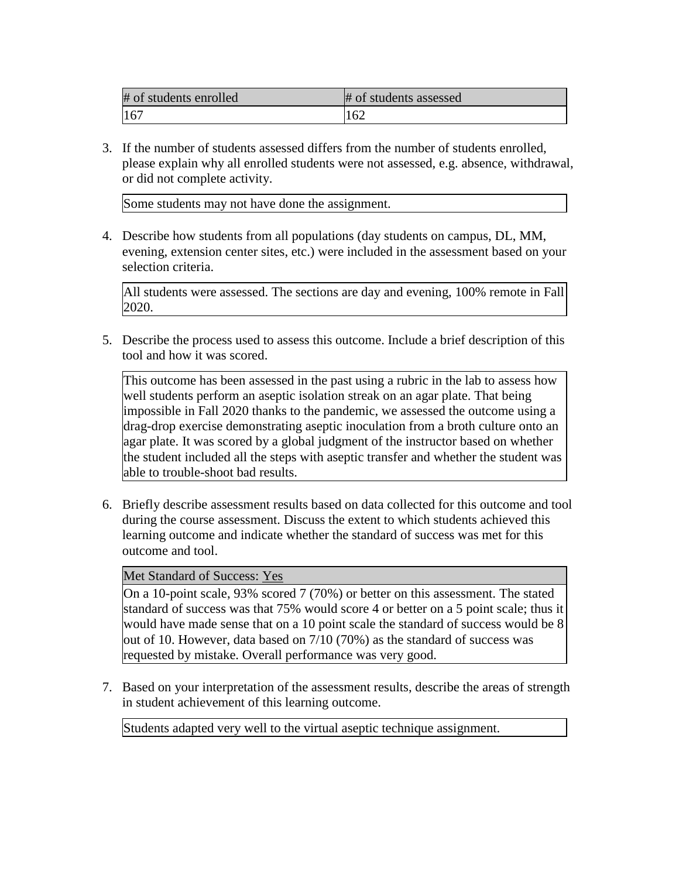| # of students enrolled | # of students assessed |
|------------------------|------------------------|
| 16 <sup>7</sup>        | 162                    |

3. If the number of students assessed differs from the number of students enrolled, please explain why all enrolled students were not assessed, e.g. absence, withdrawal, or did not complete activity.

Some students may not have done the assignment.

4. Describe how students from all populations (day students on campus, DL, MM, evening, extension center sites, etc.) were included in the assessment based on your selection criteria.

All students were assessed. The sections are day and evening, 100% remote in Fall 2020.

5. Describe the process used to assess this outcome. Include a brief description of this tool and how it was scored.

This outcome has been assessed in the past using a rubric in the lab to assess how well students perform an aseptic isolation streak on an agar plate. That being impossible in Fall 2020 thanks to the pandemic, we assessed the outcome using a drag-drop exercise demonstrating aseptic inoculation from a broth culture onto an agar plate. It was scored by a global judgment of the instructor based on whether the student included all the steps with aseptic transfer and whether the student was able to trouble-shoot bad results.

6. Briefly describe assessment results based on data collected for this outcome and tool during the course assessment. Discuss the extent to which students achieved this learning outcome and indicate whether the standard of success was met for this outcome and tool.

# Met Standard of Success: Yes

On a 10-point scale, 93% scored 7 (70%) or better on this assessment. The stated standard of success was that 75% would score 4 or better on a 5 point scale; thus it would have made sense that on a 10 point scale the standard of success would be 8 out of 10. However, data based on 7/10 (70%) as the standard of success was requested by mistake. Overall performance was very good.

7. Based on your interpretation of the assessment results, describe the areas of strength in student achievement of this learning outcome.

Students adapted very well to the virtual aseptic technique assignment.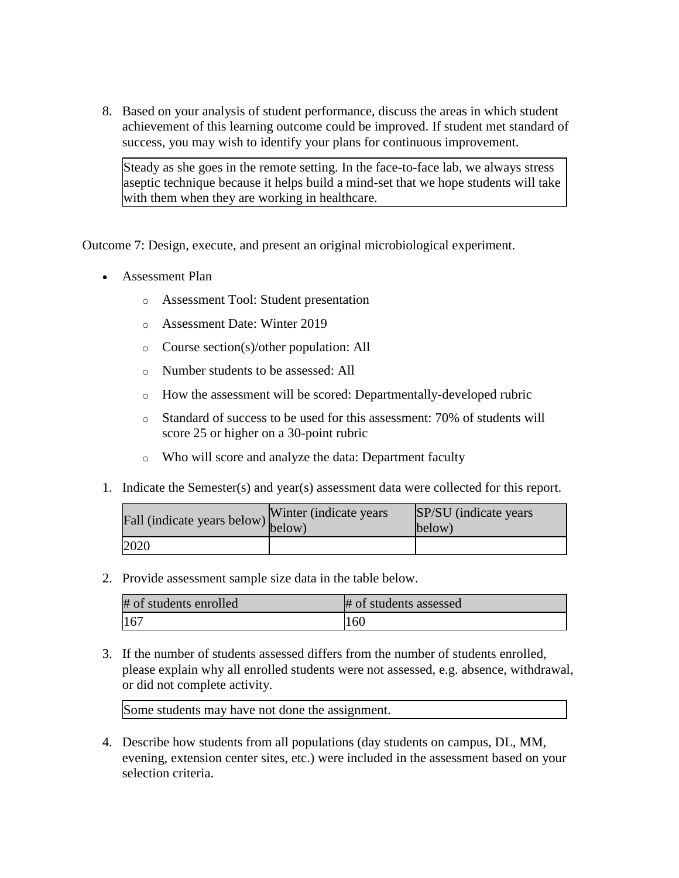8. Based on your analysis of student performance, discuss the areas in which student achievement of this learning outcome could be improved. If student met standard of success, you may wish to identify your plans for continuous improvement.

Steady as she goes in the remote setting. In the face-to-face lab, we always stress aseptic technique because it helps build a mind-set that we hope students will take with them when they are working in healthcare.

Outcome 7: Design, execute, and present an original microbiological experiment.

- Assessment Plan
	- o Assessment Tool: Student presentation
	- o Assessment Date: Winter 2019
	- o Course section(s)/other population: All
	- o Number students to be assessed: All
	- o How the assessment will be scored: Departmentally-developed rubric
	- o Standard of success to be used for this assessment: 70% of students will score 25 or higher on a 30-point rubric
	- o Who will score and analyze the data: Department faculty
- 1. Indicate the Semester(s) and year(s) assessment data were collected for this report.

| Fall (indicate years below) below) | Winter (indicate years) | SP/SU (indicate years)<br>below) |
|------------------------------------|-------------------------|----------------------------------|
| 2020                               |                         |                                  |

2. Provide assessment sample size data in the table below.

| # of students enrolled | # of students assessed |
|------------------------|------------------------|
| 167                    | 160                    |

3. If the number of students assessed differs from the number of students enrolled, please explain why all enrolled students were not assessed, e.g. absence, withdrawal, or did not complete activity.

Some students may have not done the assignment.

4. Describe how students from all populations (day students on campus, DL, MM, evening, extension center sites, etc.) were included in the assessment based on your selection criteria.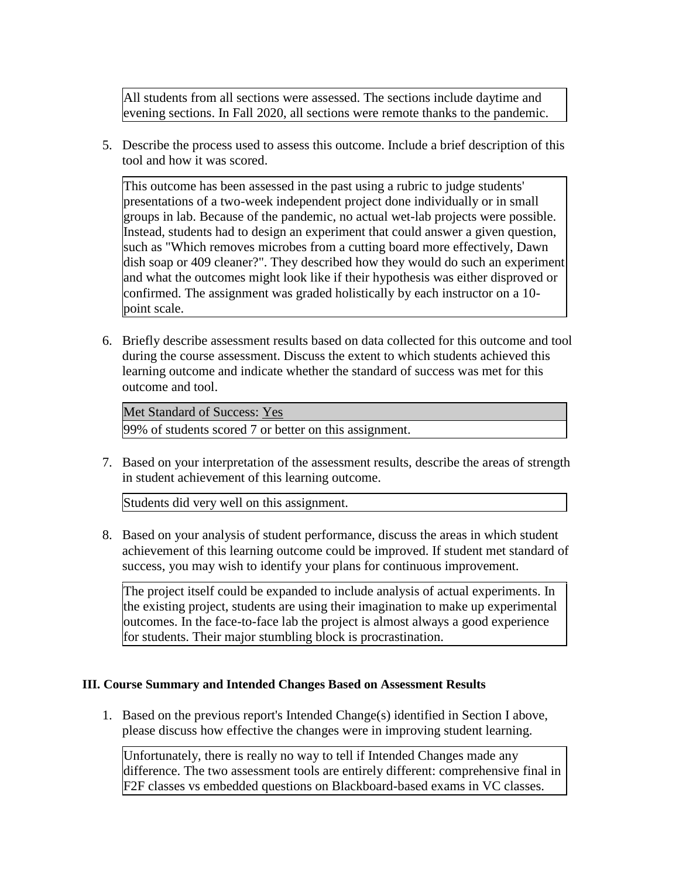All students from all sections were assessed. The sections include daytime and evening sections. In Fall 2020, all sections were remote thanks to the pandemic.

5. Describe the process used to assess this outcome. Include a brief description of this tool and how it was scored.

This outcome has been assessed in the past using a rubric to judge students' presentations of a two-week independent project done individually or in small groups in lab. Because of the pandemic, no actual wet-lab projects were possible. Instead, students had to design an experiment that could answer a given question, such as "Which removes microbes from a cutting board more effectively, Dawn dish soap or 409 cleaner?". They described how they would do such an experiment and what the outcomes might look like if their hypothesis was either disproved or confirmed. The assignment was graded holistically by each instructor on a 10 point scale.

6. Briefly describe assessment results based on data collected for this outcome and tool during the course assessment. Discuss the extent to which students achieved this learning outcome and indicate whether the standard of success was met for this outcome and tool.

Met Standard of Success: Yes 99% of students scored 7 or better on this assignment.

7. Based on your interpretation of the assessment results, describe the areas of strength in student achievement of this learning outcome.

Students did very well on this assignment.

8. Based on your analysis of student performance, discuss the areas in which student achievement of this learning outcome could be improved. If student met standard of success, you may wish to identify your plans for continuous improvement.

The project itself could be expanded to include analysis of actual experiments. In the existing project, students are using their imagination to make up experimental outcomes. In the face-to-face lab the project is almost always a good experience for students. Their major stumbling block is procrastination.

# **III. Course Summary and Intended Changes Based on Assessment Results**

1. Based on the previous report's Intended Change(s) identified in Section I above, please discuss how effective the changes were in improving student learning.

Unfortunately, there is really no way to tell if Intended Changes made any difference. The two assessment tools are entirely different: comprehensive final in F2F classes vs embedded questions on Blackboard-based exams in VC classes.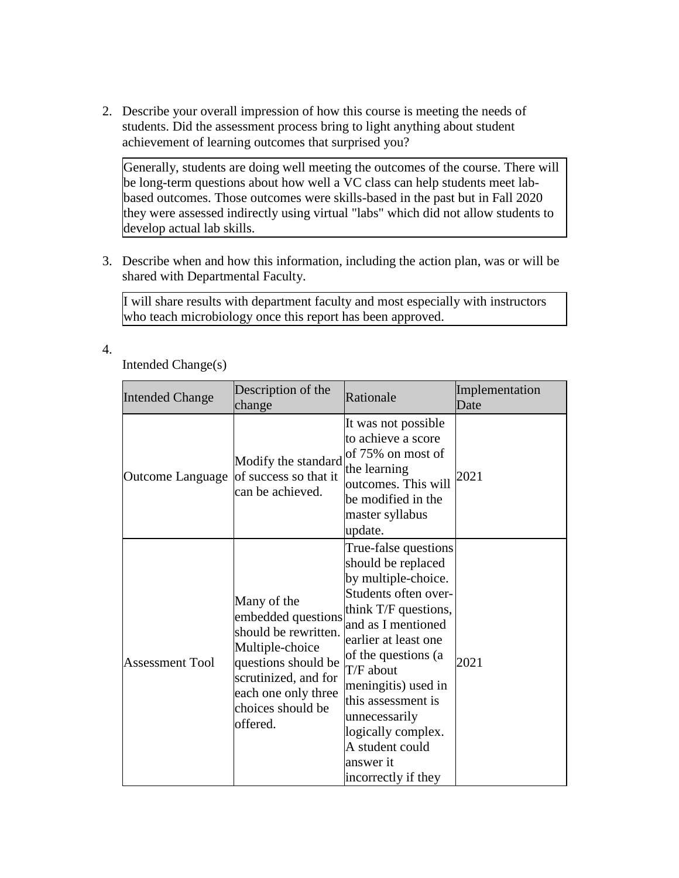2. Describe your overall impression of how this course is meeting the needs of students. Did the assessment process bring to light anything about student achievement of learning outcomes that surprised you?

Generally, students are doing well meeting the outcomes of the course. There will be long-term questions about how well a VC class can help students meet labbased outcomes. Those outcomes were skills-based in the past but in Fall 2020 they were assessed indirectly using virtual "labs" which did not allow students to develop actual lab skills.

3. Describe when and how this information, including the action plan, was or will be shared with Departmental Faculty.

I will share results with department faculty and most especially with instructors who teach microbiology once this report has been approved.

4.

Intended Change(s)

| <b>Intended Change</b> | Description of the<br>change                                                                                                                                                        | Rationale                                                                                                                                                                                                                                                                                                                                      | Implementation<br>Date |
|------------------------|-------------------------------------------------------------------------------------------------------------------------------------------------------------------------------------|------------------------------------------------------------------------------------------------------------------------------------------------------------------------------------------------------------------------------------------------------------------------------------------------------------------------------------------------|------------------------|
| Outcome Language       | Modify the standard<br>of success so that it<br>can be achieved.                                                                                                                    | It was not possible<br>to achieve a score<br>of 75% on most of<br>the learning<br>outcomes. This will<br>be modified in the<br>master syllabus<br>update.                                                                                                                                                                                      | 2021                   |
| <b>Assessment Tool</b> | Many of the<br>embedded questions<br>should be rewritten.<br>Multiple-choice<br>questions should be<br>scrutinized, and for<br>each one only three<br>choices should be<br>offered. | True-false questions<br>should be replaced<br>by multiple-choice.<br>Students often over-<br>think T/F questions,<br>and as I mentioned<br>earlier at least one<br>of the questions (a<br>T/F about<br>meningitis) used in<br>this assessment is<br>unnecessarily<br>logically complex.<br>A student could<br>answer it<br>incorrectly if they | 2021                   |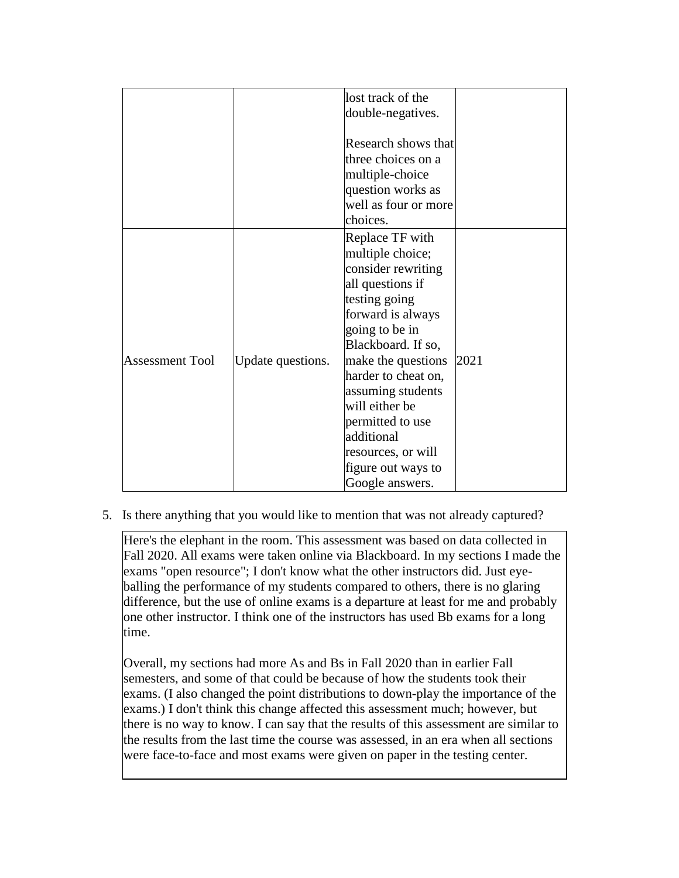|                        |                   | lost track of the                                                                                                                                                                 |      |
|------------------------|-------------------|-----------------------------------------------------------------------------------------------------------------------------------------------------------------------------------|------|
|                        |                   | double-negatives.                                                                                                                                                                 |      |
|                        |                   |                                                                                                                                                                                   |      |
|                        |                   | Research shows that                                                                                                                                                               |      |
|                        |                   | three choices on a                                                                                                                                                                |      |
|                        |                   | multiple-choice                                                                                                                                                                   |      |
|                        |                   | question works as                                                                                                                                                                 |      |
|                        |                   | well as four or more                                                                                                                                                              |      |
|                        |                   | choices.                                                                                                                                                                          |      |
|                        |                   | Replace TF with                                                                                                                                                                   |      |
|                        |                   | multiple choice;                                                                                                                                                                  |      |
|                        |                   | consider rewriting                                                                                                                                                                |      |
|                        |                   | all questions if                                                                                                                                                                  |      |
|                        |                   | testing going                                                                                                                                                                     |      |
|                        |                   | forward is always                                                                                                                                                                 |      |
|                        |                   | going to be in                                                                                                                                                                    |      |
|                        |                   | Blackboard. If so,                                                                                                                                                                |      |
| <b>Assessment Tool</b> |                   |                                                                                                                                                                                   | 2021 |
|                        |                   |                                                                                                                                                                                   |      |
|                        |                   |                                                                                                                                                                                   |      |
|                        |                   |                                                                                                                                                                                   |      |
|                        |                   |                                                                                                                                                                                   |      |
|                        |                   |                                                                                                                                                                                   |      |
|                        |                   |                                                                                                                                                                                   |      |
|                        |                   |                                                                                                                                                                                   |      |
|                        |                   |                                                                                                                                                                                   |      |
|                        | Update questions. | make the questions<br>harder to cheat on,<br>assuming students<br>will either be<br>permitted to use<br>additional<br>resources, or will<br>figure out ways to<br>Google answers. |      |

5. Is there anything that you would like to mention that was not already captured?

Here's the elephant in the room. This assessment was based on data collected in Fall 2020. All exams were taken online via Blackboard. In my sections I made the exams "open resource"; I don't know what the other instructors did. Just eyeballing the performance of my students compared to others, there is no glaring difference, but the use of online exams is a departure at least for me and probably one other instructor. I think one of the instructors has used Bb exams for a long time.

Overall, my sections had more As and Bs in Fall 2020 than in earlier Fall semesters, and some of that could be because of how the students took their exams. (I also changed the point distributions to down-play the importance of the exams.) I don't think this change affected this assessment much; however, but there is no way to know. I can say that the results of this assessment are similar to the results from the last time the course was assessed, in an era when all sections were face-to-face and most exams were given on paper in the testing center.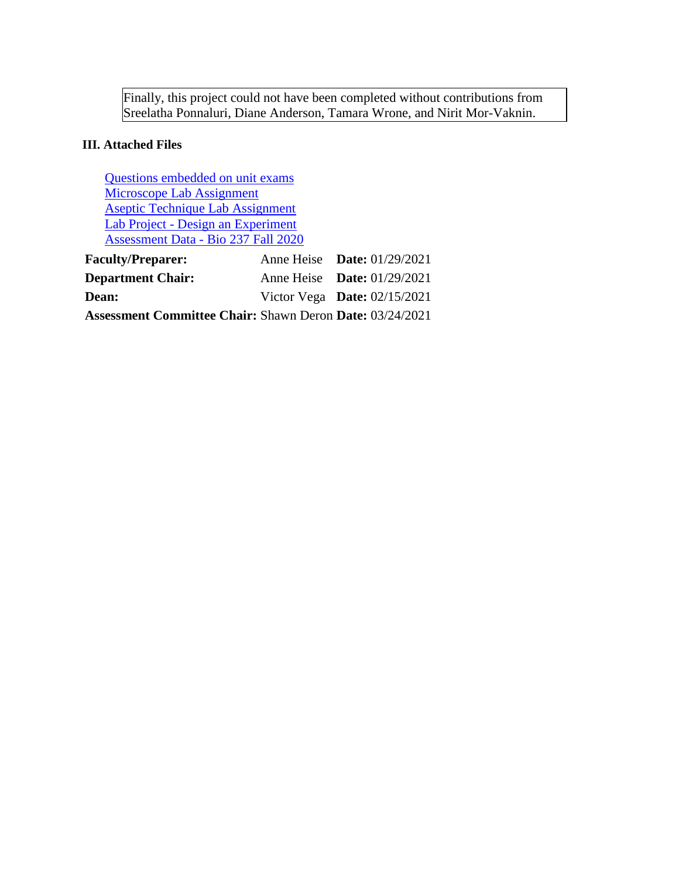Finally, this project could not have been completed without contributions from Sreelatha Ponnaluri, Diane Anderson, Tamara Wrone, and Nirit Mor-Vaknin.

# **III. Attached Files**

[Questions embedded on unit exams](documents/Questions%20to%20be%20used%20on%20Winter%202020%20Assessment%20AH%20WORKING%20COPY.docx) [Microscope Lab Assignment](documents/Lab%209%20Microscope%20Worksheet.docx) [Aseptic Technique Lab Assignment](documents/Lab%207%20Aseptic%20Technique%20Student%20Worksheet.pptx) Lab Project - [Design an Experiment](documents/Lab%205%20Experiment%20Project%20Handout.docx) [Assessment Data -](documents/BIO%20237%20Assessment%20Spreadsheet%20SP%20AND%20AH%20AND%20NMV_updated.xlsx) Bio 237 Fall 2020 **Faculty/Preparer:** Anne Heise **Date:** 01/29/2021

| <b>Faculty/Preparer:</b>                                        | Anne Heise <b>Date:</b> $01/29/2021$ |  |
|-----------------------------------------------------------------|--------------------------------------|--|
| <b>Department Chair:</b>                                        | Anne Heise Date: $01/29/2021$        |  |
| <b>Dean:</b>                                                    | Victor Vega Date: $02/15/2021$       |  |
| <b>Assessment Committee Chair: Shawn Deron Date: 03/24/2021</b> |                                      |  |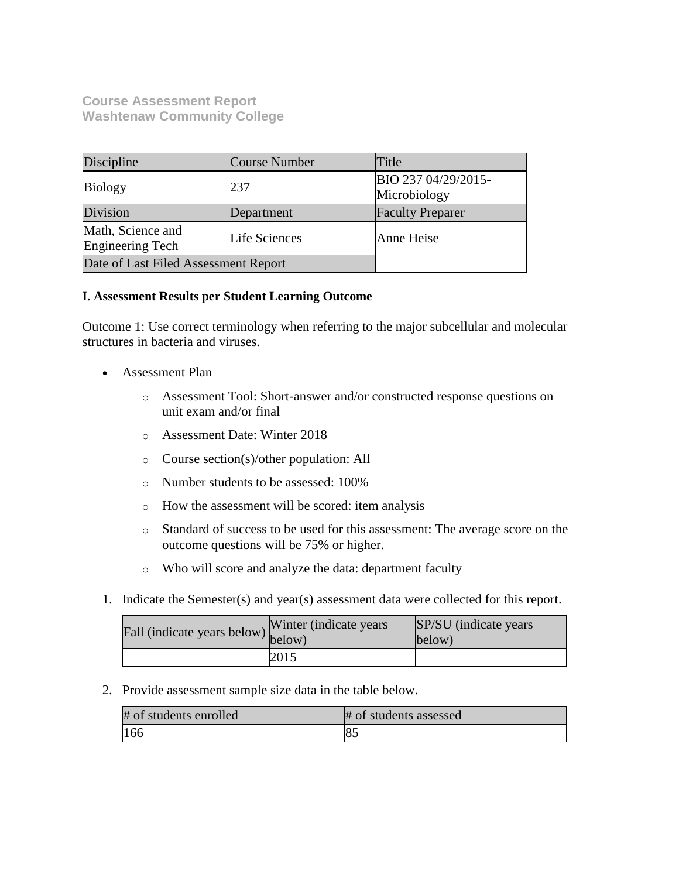**Course Assessment Report Washtenaw Community College**

| Discipline                            | Course Number | Title                               |
|---------------------------------------|---------------|-------------------------------------|
| <b>Biology</b>                        | 237           | BIO 237 04/29/2015-<br>Microbiology |
| Division                              | Department    | <b>Faculty Preparer</b>             |
| Math, Science and<br>Engineering Tech | Life Sciences | Anne Heise                          |
| Date of Last Filed Assessment Report  |               |                                     |

# **I. Assessment Results per Student Learning Outcome**

Outcome 1: Use correct terminology when referring to the major subcellular and molecular structures in bacteria and viruses.

- Assessment Plan
	- o Assessment Tool: Short-answer and/or constructed response questions on unit exam and/or final
	- o Assessment Date: Winter 2018
	- o Course section(s)/other population: All
	- o Number students to be assessed: 100%
	- o How the assessment will be scored: item analysis
	- o Standard of success to be used for this assessment: The average score on the outcome questions will be 75% or higher.
	- o Who will score and analyze the data: department faculty
- 1. Indicate the Semester(s) and year(s) assessment data were collected for this report.

| Fall (indicate years below) below) | Winter (indicate years) | SP/SU (indicate years)<br>below) |
|------------------------------------|-------------------------|----------------------------------|
|                                    | 2015                    |                                  |

2. Provide assessment sample size data in the table below.

| # of students enrolled | # of students assessed |
|------------------------|------------------------|
| 166                    | 85                     |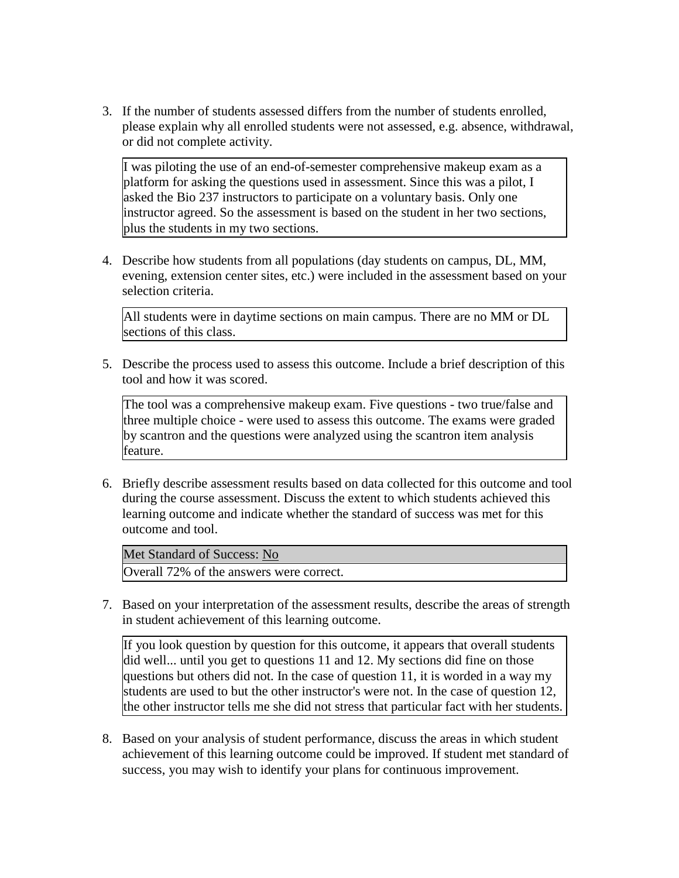3. If the number of students assessed differs from the number of students enrolled, please explain why all enrolled students were not assessed, e.g. absence, withdrawal, or did not complete activity.

I was piloting the use of an end-of-semester comprehensive makeup exam as a platform for asking the questions used in assessment. Since this was a pilot, I asked the Bio 237 instructors to participate on a voluntary basis. Only one instructor agreed. So the assessment is based on the student in her two sections, plus the students in my two sections.

4. Describe how students from all populations (day students on campus, DL, MM, evening, extension center sites, etc.) were included in the assessment based on your selection criteria.

All students were in daytime sections on main campus. There are no MM or DL sections of this class.

5. Describe the process used to assess this outcome. Include a brief description of this tool and how it was scored.

The tool was a comprehensive makeup exam. Five questions - two true/false and three multiple choice - were used to assess this outcome. The exams were graded by scantron and the questions were analyzed using the scantron item analysis feature.

6. Briefly describe assessment results based on data collected for this outcome and tool during the course assessment. Discuss the extent to which students achieved this learning outcome and indicate whether the standard of success was met for this outcome and tool.

Met Standard of Success: No

Overall 72% of the answers were correct.

7. Based on your interpretation of the assessment results, describe the areas of strength in student achievement of this learning outcome.

If you look question by question for this outcome, it appears that overall students did well... until you get to questions 11 and 12. My sections did fine on those questions but others did not. In the case of question 11, it is worded in a way my students are used to but the other instructor's were not. In the case of question 12, the other instructor tells me she did not stress that particular fact with her students.

8. Based on your analysis of student performance, discuss the areas in which student achievement of this learning outcome could be improved. If student met standard of success, you may wish to identify your plans for continuous improvement.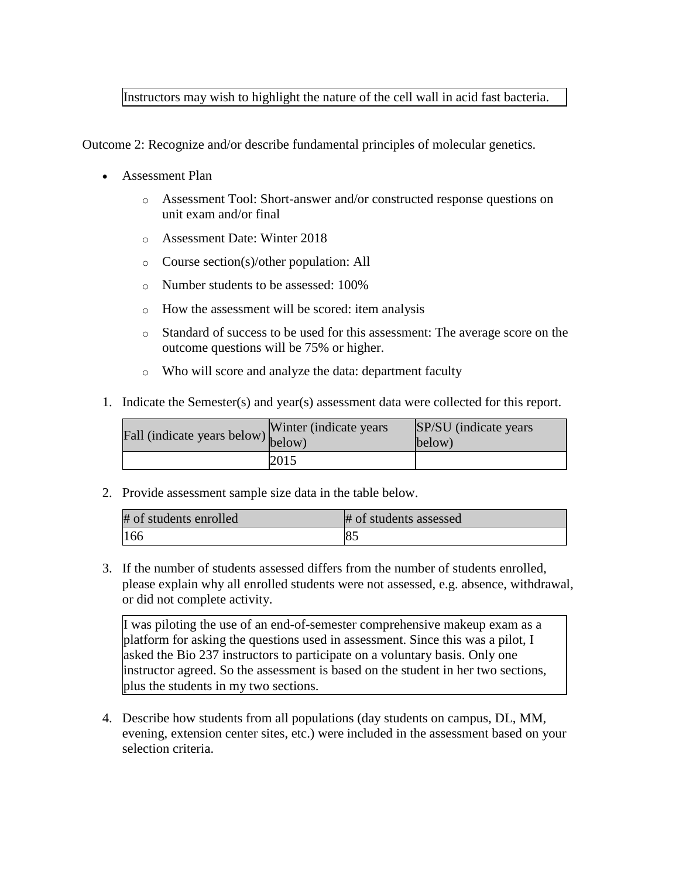# Instructors may wish to highlight the nature of the cell wall in acid fast bacteria.

Outcome 2: Recognize and/or describe fundamental principles of molecular genetics.

- Assessment Plan
	- o Assessment Tool: Short-answer and/or constructed response questions on unit exam and/or final
	- o Assessment Date: Winter 2018
	- o Course section(s)/other population: All
	- o Number students to be assessed: 100%
	- o How the assessment will be scored: item analysis
	- o Standard of success to be used for this assessment: The average score on the outcome questions will be 75% or higher.
	- o Who will score and analyze the data: department faculty
- 1. Indicate the Semester(s) and year(s) assessment data were collected for this report.

| Fall (indicate years below) below) | Winter (indicate years) | SP/SU (indicate years)<br>below) |
|------------------------------------|-------------------------|----------------------------------|
|                                    | 2015                    |                                  |

2. Provide assessment sample size data in the table below.

| # of students enrolled | # of students assessed |
|------------------------|------------------------|
| 166                    |                        |

3. If the number of students assessed differs from the number of students enrolled, please explain why all enrolled students were not assessed, e.g. absence, withdrawal, or did not complete activity.

I was piloting the use of an end-of-semester comprehensive makeup exam as a platform for asking the questions used in assessment. Since this was a pilot, I asked the Bio 237 instructors to participate on a voluntary basis. Only one instructor agreed. So the assessment is based on the student in her two sections, plus the students in my two sections.

4. Describe how students from all populations (day students on campus, DL, MM, evening, extension center sites, etc.) were included in the assessment based on your selection criteria.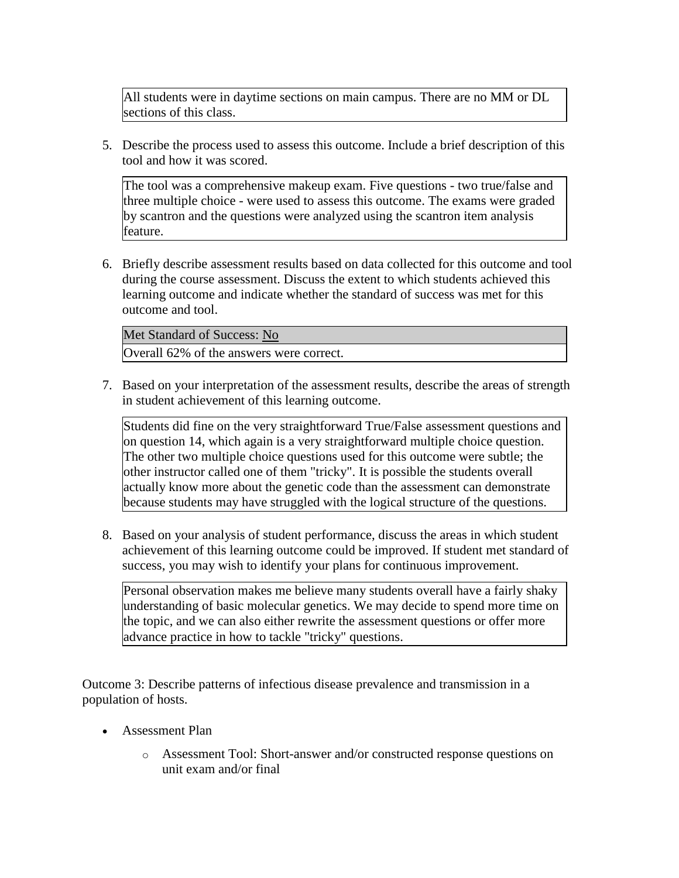All students were in daytime sections on main campus. There are no MM or DL sections of this class.

5. Describe the process used to assess this outcome. Include a brief description of this tool and how it was scored.

The tool was a comprehensive makeup exam. Five questions - two true/false and three multiple choice - were used to assess this outcome. The exams were graded by scantron and the questions were analyzed using the scantron item analysis feature.

6. Briefly describe assessment results based on data collected for this outcome and tool during the course assessment. Discuss the extent to which students achieved this learning outcome and indicate whether the standard of success was met for this outcome and tool.

Met Standard of Success: No

Overall 62% of the answers were correct.

7. Based on your interpretation of the assessment results, describe the areas of strength in student achievement of this learning outcome.

Students did fine on the very straightforward True/False assessment questions and on question 14, which again is a very straightforward multiple choice question. The other two multiple choice questions used for this outcome were subtle; the other instructor called one of them "tricky". It is possible the students overall actually know more about the genetic code than the assessment can demonstrate because students may have struggled with the logical structure of the questions.

8. Based on your analysis of student performance, discuss the areas in which student achievement of this learning outcome could be improved. If student met standard of success, you may wish to identify your plans for continuous improvement.

Personal observation makes me believe many students overall have a fairly shaky understanding of basic molecular genetics. We may decide to spend more time on the topic, and we can also either rewrite the assessment questions or offer more advance practice in how to tackle "tricky" questions.

Outcome 3: Describe patterns of infectious disease prevalence and transmission in a population of hosts.

- Assessment Plan
	- o Assessment Tool: Short-answer and/or constructed response questions on unit exam and/or final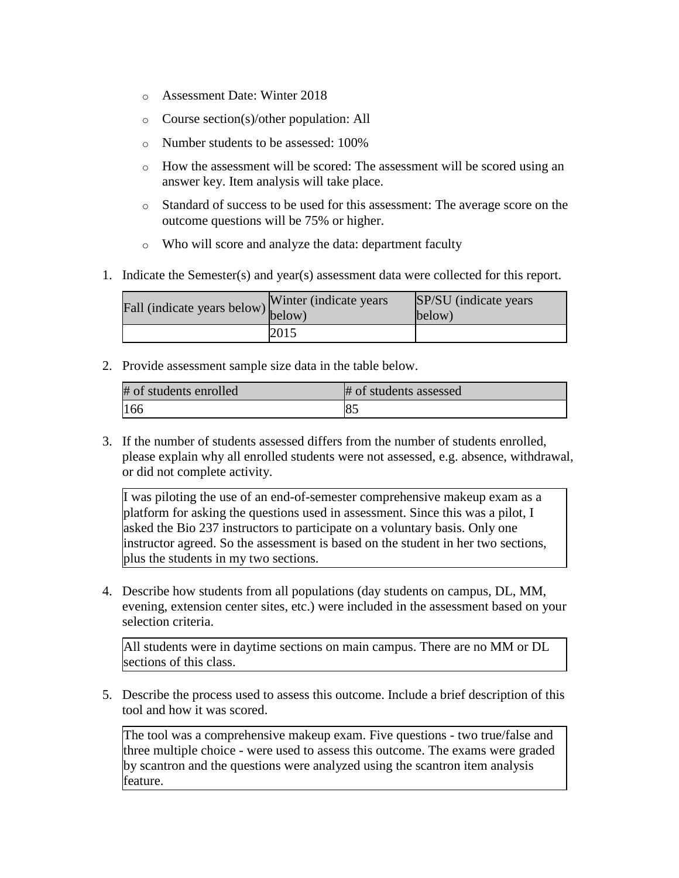- o Assessment Date: Winter 2018
- o Course section(s)/other population: All
- o Number students to be assessed: 100%
- o How the assessment will be scored: The assessment will be scored using an answer key. Item analysis will take place.
- o Standard of success to be used for this assessment: The average score on the outcome questions will be 75% or higher.
- o Who will score and analyze the data: department faculty
- 1. Indicate the Semester(s) and year(s) assessment data were collected for this report.

| Fall (indicate years below) v mea (manus) | Winter (indicate years) | SP/SU (indicate years)<br>below) |
|-------------------------------------------|-------------------------|----------------------------------|
|                                           | 2015                    |                                  |

2. Provide assessment sample size data in the table below.

| # of students enrolled | # of students assessed |
|------------------------|------------------------|
| 166                    | 8 <sup>2</sup>         |

3. If the number of students assessed differs from the number of students enrolled, please explain why all enrolled students were not assessed, e.g. absence, withdrawal, or did not complete activity.

I was piloting the use of an end-of-semester comprehensive makeup exam as a platform for asking the questions used in assessment. Since this was a pilot, I asked the Bio 237 instructors to participate on a voluntary basis. Only one instructor agreed. So the assessment is based on the student in her two sections, plus the students in my two sections.

4. Describe how students from all populations (day students on campus, DL, MM, evening, extension center sites, etc.) were included in the assessment based on your selection criteria.

All students were in daytime sections on main campus. There are no MM or DL sections of this class.

5. Describe the process used to assess this outcome. Include a brief description of this tool and how it was scored.

The tool was a comprehensive makeup exam. Five questions - two true/false and three multiple choice - were used to assess this outcome. The exams were graded by scantron and the questions were analyzed using the scantron item analysis feature.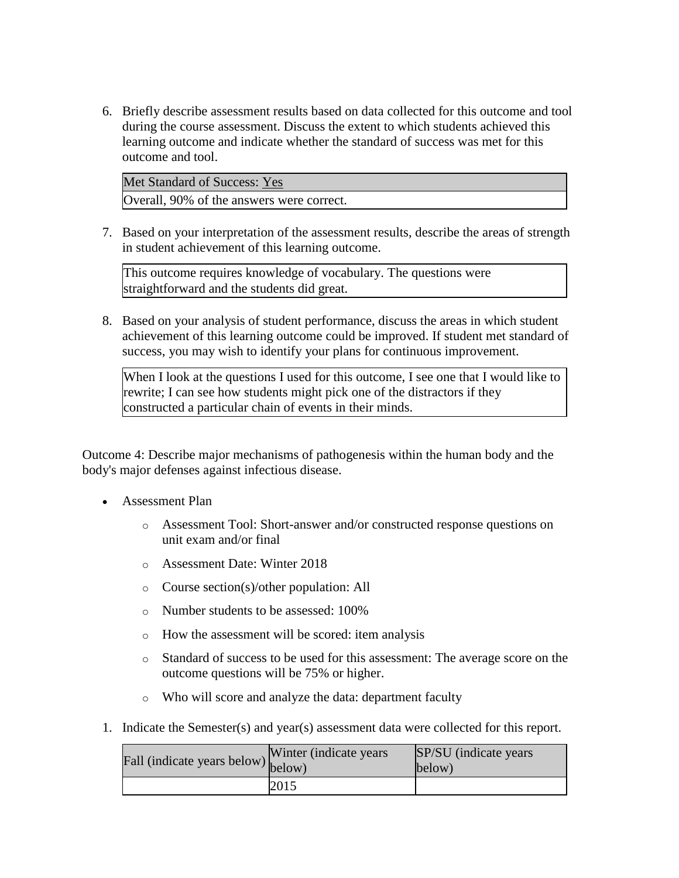6. Briefly describe assessment results based on data collected for this outcome and tool during the course assessment. Discuss the extent to which students achieved this learning outcome and indicate whether the standard of success was met for this outcome and tool.

Met Standard of Success: Yes Overall, 90% of the answers were correct.

7. Based on your interpretation of the assessment results, describe the areas of strength in student achievement of this learning outcome.

This outcome requires knowledge of vocabulary. The questions were straightforward and the students did great.

8. Based on your analysis of student performance, discuss the areas in which student achievement of this learning outcome could be improved. If student met standard of success, you may wish to identify your plans for continuous improvement.

When I look at the questions I used for this outcome, I see one that I would like to rewrite; I can see how students might pick one of the distractors if they constructed a particular chain of events in their minds.

Outcome 4: Describe major mechanisms of pathogenesis within the human body and the body's major defenses against infectious disease.

- Assessment Plan
	- o Assessment Tool: Short-answer and/or constructed response questions on unit exam and/or final
	- o Assessment Date: Winter 2018
	- o Course section(s)/other population: All
	- o Number students to be assessed: 100%
	- o How the assessment will be scored: item analysis
	- o Standard of success to be used for this assessment: The average score on the outcome questions will be 75% or higher.
	- o Who will score and analyze the data: department faculty
- 1. Indicate the Semester(s) and year(s) assessment data were collected for this report.

| Fall (indicate years below) $\begin{bmatrix} w \text{ finite} \\ below \end{bmatrix}$ | Winter (indicate years) | SP/SU (indicate years)<br>below) |
|---------------------------------------------------------------------------------------|-------------------------|----------------------------------|
|                                                                                       | 2015                    |                                  |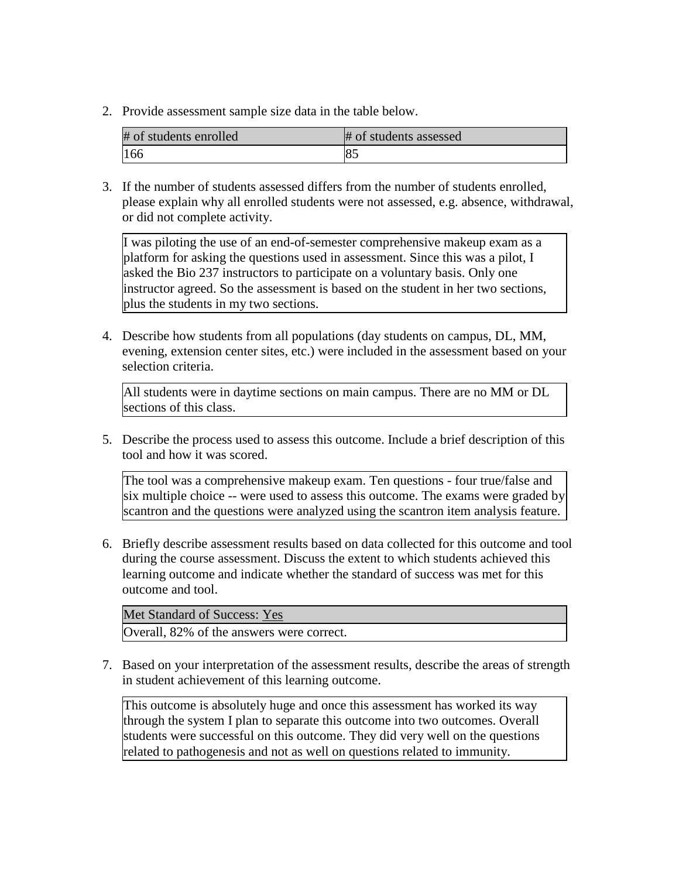2. Provide assessment sample size data in the table below.

| # of students enrolled | # of students assessed |
|------------------------|------------------------|
| 166                    | 85                     |

3. If the number of students assessed differs from the number of students enrolled, please explain why all enrolled students were not assessed, e.g. absence, withdrawal, or did not complete activity.

I was piloting the use of an end-of-semester comprehensive makeup exam as a platform for asking the questions used in assessment. Since this was a pilot, I asked the Bio 237 instructors to participate on a voluntary basis. Only one instructor agreed. So the assessment is based on the student in her two sections, plus the students in my two sections.

4. Describe how students from all populations (day students on campus, DL, MM, evening, extension center sites, etc.) were included in the assessment based on your selection criteria.

All students were in daytime sections on main campus. There are no MM or DL sections of this class.

5. Describe the process used to assess this outcome. Include a brief description of this tool and how it was scored.

The tool was a comprehensive makeup exam. Ten questions - four true/false and six multiple choice -- were used to assess this outcome. The exams were graded by scantron and the questions were analyzed using the scantron item analysis feature.

6. Briefly describe assessment results based on data collected for this outcome and tool during the course assessment. Discuss the extent to which students achieved this learning outcome and indicate whether the standard of success was met for this outcome and tool.

| Met Standard of Success: Yes              |  |
|-------------------------------------------|--|
| Overall, 82% of the answers were correct. |  |

7. Based on your interpretation of the assessment results, describe the areas of strength in student achievement of this learning outcome.

This outcome is absolutely huge and once this assessment has worked its way through the system I plan to separate this outcome into two outcomes. Overall students were successful on this outcome. They did very well on the questions related to pathogenesis and not as well on questions related to immunity.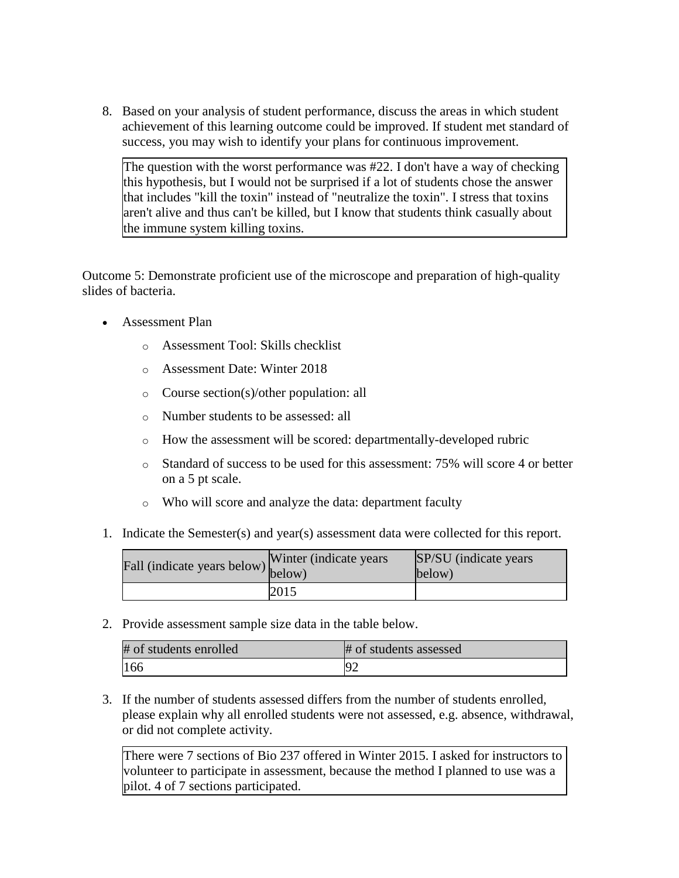8. Based on your analysis of student performance, discuss the areas in which student achievement of this learning outcome could be improved. If student met standard of success, you may wish to identify your plans for continuous improvement.

The question with the worst performance was #22. I don't have a way of checking this hypothesis, but I would not be surprised if a lot of students chose the answer that includes "kill the toxin" instead of "neutralize the toxin". I stress that toxins aren't alive and thus can't be killed, but I know that students think casually about the immune system killing toxins.

Outcome 5: Demonstrate proficient use of the microscope and preparation of high-quality slides of bacteria.

- Assessment Plan
	- o Assessment Tool: Skills checklist
	- o Assessment Date: Winter 2018
	- o Course section(s)/other population: all
	- o Number students to be assessed: all
	- o How the assessment will be scored: departmentally-developed rubric
	- o Standard of success to be used for this assessment: 75% will score 4 or better on a 5 pt scale.
	- o Who will score and analyze the data: department faculty
- 1. Indicate the Semester(s) and year(s) assessment data were collected for this report.

| Fall (indicate years below) below) | Winter (indicate years) | SP/SU (indicate years)<br>below) |
|------------------------------------|-------------------------|----------------------------------|
|                                    | 2015                    |                                  |

2. Provide assessment sample size data in the table below.

| # of students enrolled | # of students assessed |
|------------------------|------------------------|
| 166                    |                        |

3. If the number of students assessed differs from the number of students enrolled, please explain why all enrolled students were not assessed, e.g. absence, withdrawal, or did not complete activity.

There were 7 sections of Bio 237 offered in Winter 2015. I asked for instructors to volunteer to participate in assessment, because the method I planned to use was a pilot. 4 of 7 sections participated.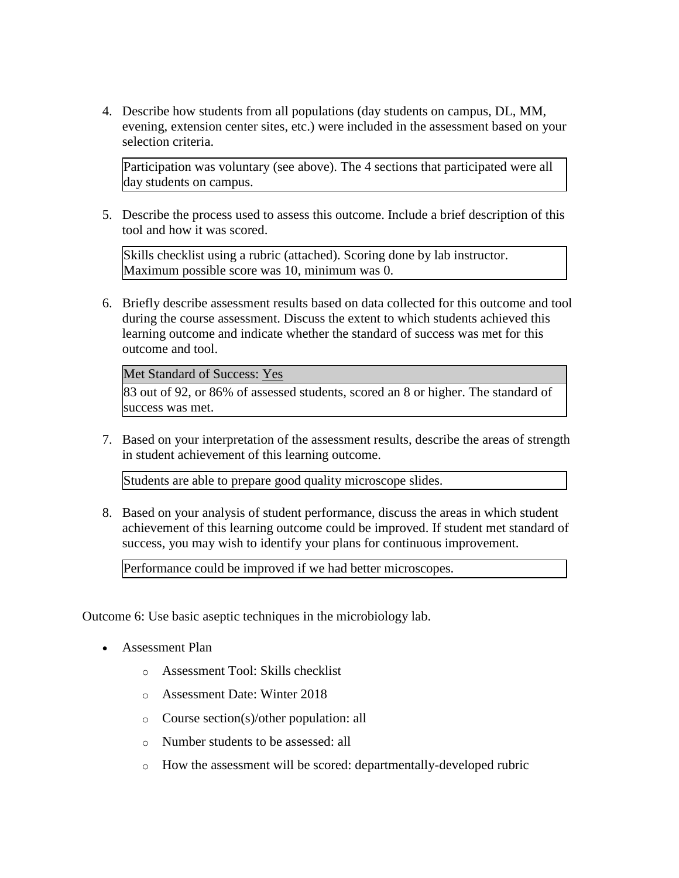4. Describe how students from all populations (day students on campus, DL, MM, evening, extension center sites, etc.) were included in the assessment based on your selection criteria.

Participation was voluntary (see above). The 4 sections that participated were all day students on campus.

5. Describe the process used to assess this outcome. Include a brief description of this tool and how it was scored.

Skills checklist using a rubric (attached). Scoring done by lab instructor. Maximum possible score was 10, minimum was 0.

6. Briefly describe assessment results based on data collected for this outcome and tool during the course assessment. Discuss the extent to which students achieved this learning outcome and indicate whether the standard of success was met for this outcome and tool.

Met Standard of Success: Yes

83 out of 92, or 86% of assessed students, scored an 8 or higher. The standard of success was met.

7. Based on your interpretation of the assessment results, describe the areas of strength in student achievement of this learning outcome.

Students are able to prepare good quality microscope slides.

8. Based on your analysis of student performance, discuss the areas in which student achievement of this learning outcome could be improved. If student met standard of success, you may wish to identify your plans for continuous improvement.

Performance could be improved if we had better microscopes.

Outcome 6: Use basic aseptic techniques in the microbiology lab.

- Assessment Plan
	- o Assessment Tool: Skills checklist
	- o Assessment Date: Winter 2018
	- o Course section(s)/other population: all
	- o Number students to be assessed: all
	- o How the assessment will be scored: departmentally-developed rubric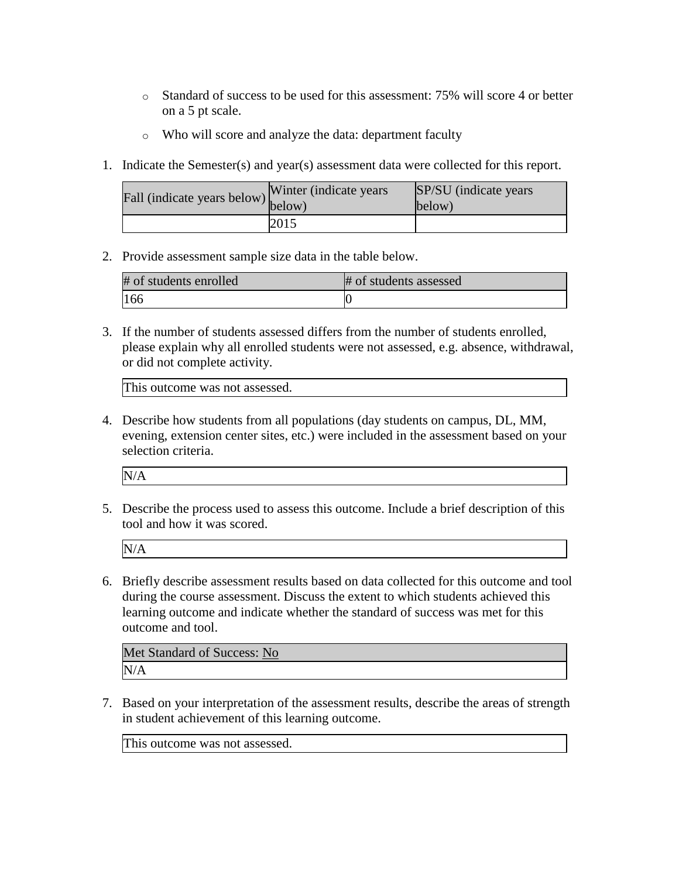- o Standard of success to be used for this assessment: 75% will score 4 or better on a 5 pt scale.
- o Who will score and analyze the data: department faculty
- 1. Indicate the Semester(s) and year(s) assessment data were collected for this report.

| rall (indicate years below) below) | Winter (indicate years) | SP/SU (indicate years)<br>below) |
|------------------------------------|-------------------------|----------------------------------|
|                                    | 2015                    |                                  |

2. Provide assessment sample size data in the table below.

| # of students enrolled | # of students assessed |
|------------------------|------------------------|
| 166                    |                        |

3. If the number of students assessed differs from the number of students enrolled, please explain why all enrolled students were not assessed, e.g. absence, withdrawal, or did not complete activity.

This outcome was not assessed.

4. Describe how students from all populations (day students on campus, DL, MM, evening, extension center sites, etc.) were included in the assessment based on your selection criteria.

| N/A |  |  |  |
|-----|--|--|--|
|     |  |  |  |

5. Describe the process used to assess this outcome. Include a brief description of this tool and how it was scored.

N/A

6. Briefly describe assessment results based on data collected for this outcome and tool during the course assessment. Discuss the extent to which students achieved this learning outcome and indicate whether the standard of success was met for this outcome and tool.

| Met Standard of Success: No |  |
|-----------------------------|--|
| N/A                         |  |

7. Based on your interpretation of the assessment results, describe the areas of strength in student achievement of this learning outcome.

This outcome was not assessed.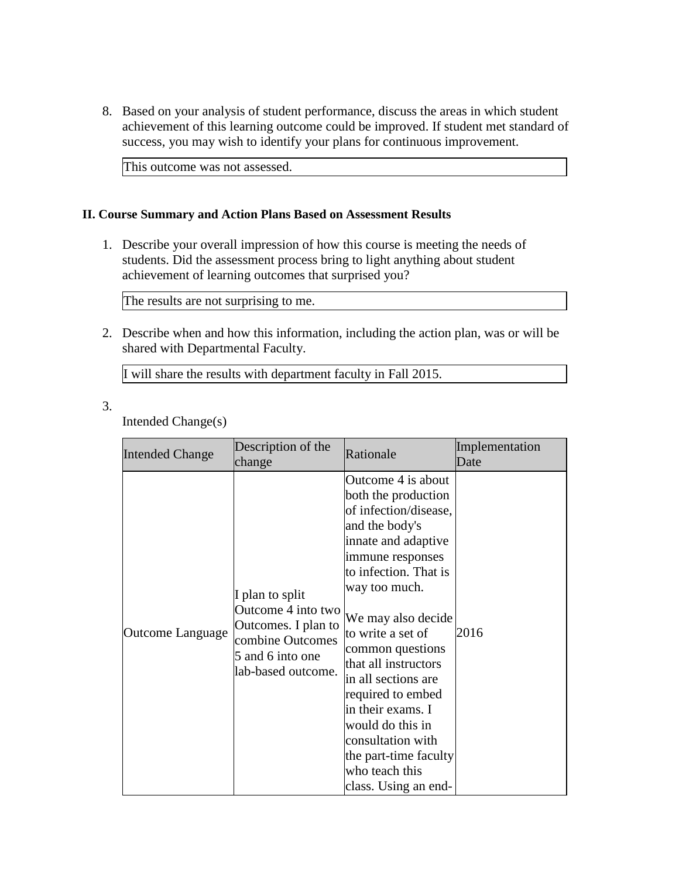8. Based on your analysis of student performance, discuss the areas in which student achievement of this learning outcome could be improved. If student met standard of success, you may wish to identify your plans for continuous improvement.

This outcome was not assessed.

## **II. Course Summary and Action Plans Based on Assessment Results**

1. Describe your overall impression of how this course is meeting the needs of students. Did the assessment process bring to light anything about student achievement of learning outcomes that surprised you?

The results are not surprising to me.

2. Describe when and how this information, including the action plan, was or will be shared with Departmental Faculty.

I will share the results with department faculty in Fall 2015.

3.

Intended Change(s)

| <b>Intended Change</b> | Description of the<br>change                                                                                               | Rationale                                                                                                                                                                                                                                                                                                                                                                                                                                     | Implementation<br>Date |
|------------------------|----------------------------------------------------------------------------------------------------------------------------|-----------------------------------------------------------------------------------------------------------------------------------------------------------------------------------------------------------------------------------------------------------------------------------------------------------------------------------------------------------------------------------------------------------------------------------------------|------------------------|
| Outcome Language       | I plan to split<br>Outcome 4 into two<br>Outcomes. I plan to<br>combine Outcomes<br>5 and 6 into one<br>lab-based outcome. | Outcome 4 is about<br>both the production<br>of infection/disease,<br>and the body's<br>innate and adaptive<br>immune responses<br>to infection. That is<br>way too much.<br>We may also decide<br>to write a set of<br>common questions<br>that all instructors<br>in all sections are<br>required to embed<br>in their exams. I<br>would do this in<br>consultation with<br>the part-time faculty<br>who teach this<br>class. Using an end- | 2016                   |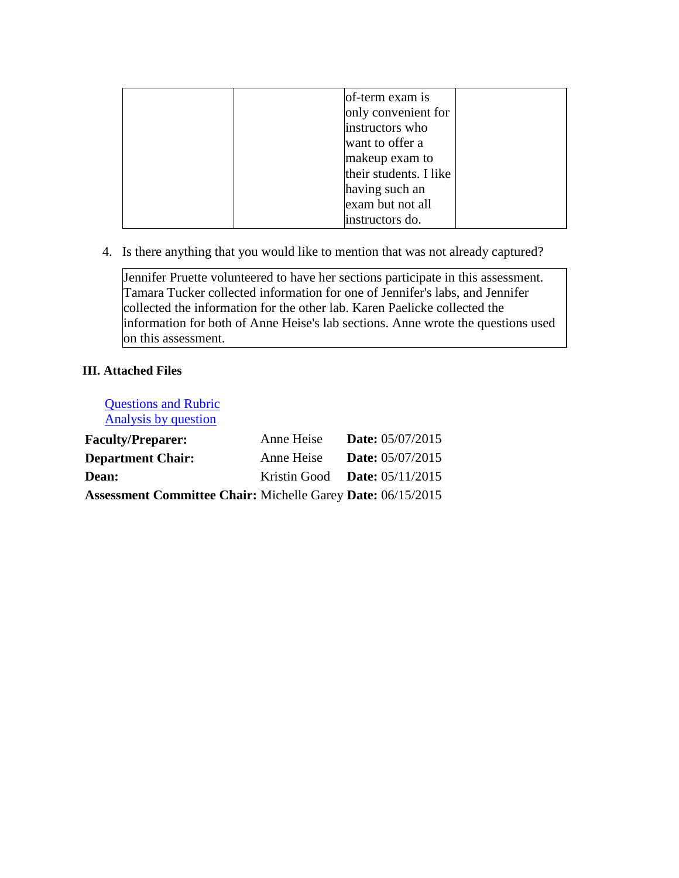| of-term exam is        |  |
|------------------------|--|
| only convenient for    |  |
| instructors who        |  |
| want to offer a        |  |
| makeup exam to         |  |
| their students. I like |  |
| having such an         |  |
| exam but not all       |  |
| instructors do.        |  |

4. Is there anything that you would like to mention that was not already captured?

Jennifer Pruette volunteered to have her sections participate in this assessment. Tamara Tucker collected information for one of Jennifer's labs, and Jennifer collected the information for the other lab. Karen Paelicke collected the information for both of Anne Heise's lab sections. Anne wrote the questions used on this assessment.

# **III. Attached Files**

| <b>Questions and Rubric</b><br>Analysis by question                |                                 |                         |
|--------------------------------------------------------------------|---------------------------------|-------------------------|
| <b>Faculty/Preparer:</b>                                           | Anne Heise                      | <b>Date:</b> 05/07/2015 |
| <b>Department Chair:</b>                                           | Anne Heise                      | <b>Date:</b> 05/07/2015 |
| Dean:                                                              | Kristin Good Date: $05/11/2015$ |                         |
| <b>Assessment Committee Chair: Michelle Garey Date: 06/15/2015</b> |                                 |                         |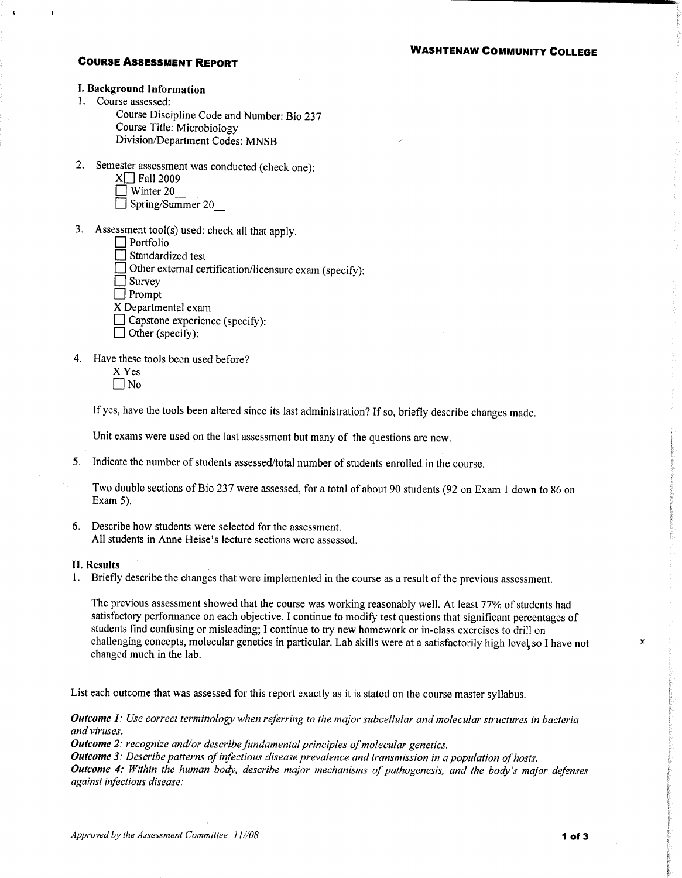### **COURSE ASSESSMENT REPORT**

### I. Background Information

1. Course assessed:

Course Discipline Code and Number: Bio 237 Course Title: Microbiology Division/Department Codes: MNSB

2. Semester assessment was conducted (check one):

| $X$ Fall 2009    |
|------------------|
| $\Box$ Winter 20 |

 $\Box$  Spring/Summer 20

3. Assessment tool(s) used: check all that apply.

- $\Box$  Standardized test
- $\Box$  Other external certification/licensure exam (specify):

 $\Box$  Survey

 $\Box$  Prompt

- X Departmental exam
- □ Capstone experience (specify):
- $\Box$  Other (specify):
- 4. Have these tools been used before?
	- X Yes  $\Box$  No

If yes, have the tools been altered since its last administration? If so, briefly describe changes made.

Unit exams were used on the last assessment but many of the questions are new.

5. Indicate the number of students assessed/total number of students enrolled in the course.

Two double sections of Bio 237 were assessed, for a total of about 90 students (92 on Exam 1 down to 86 on Exam  $5$ ).

6. Describe how students were selected for the assessment. All students in Anne Heise's lecture sections were assessed.

#### **II.** Results

1. Briefly describe the changes that were implemented in the course as a result of the previous assessment.

The previous assessment showed that the course was working reasonably well. At least 77% of students had satisfactory performance on each objective. I continue to modify test questions that significant percentages of students find confusing or misleading; I continue to try new homework or in-class exercises to drill on challenging concepts, molecular genetics in particular. Lab skills were at a satisfactorily high level so I have not changed much in the lab.

List each outcome that was assessed for this report exactly as it is stated on the course master syllabus.

Outcome 1: Use correct terminology when referring to the major subcellular and molecular structures in bacteria and viruses.

Outcome 2: recognize and/or describe fundamental principles of molecular genetics.

Outcome 3: Describe patterns of infectious disease prevalence and transmission in a population of hosts.

**Outcome 4:** Within the human body, describe major mechanisms of pathogenesis, and the body's major defenses against infectious disease:

 $\mathbf{x}$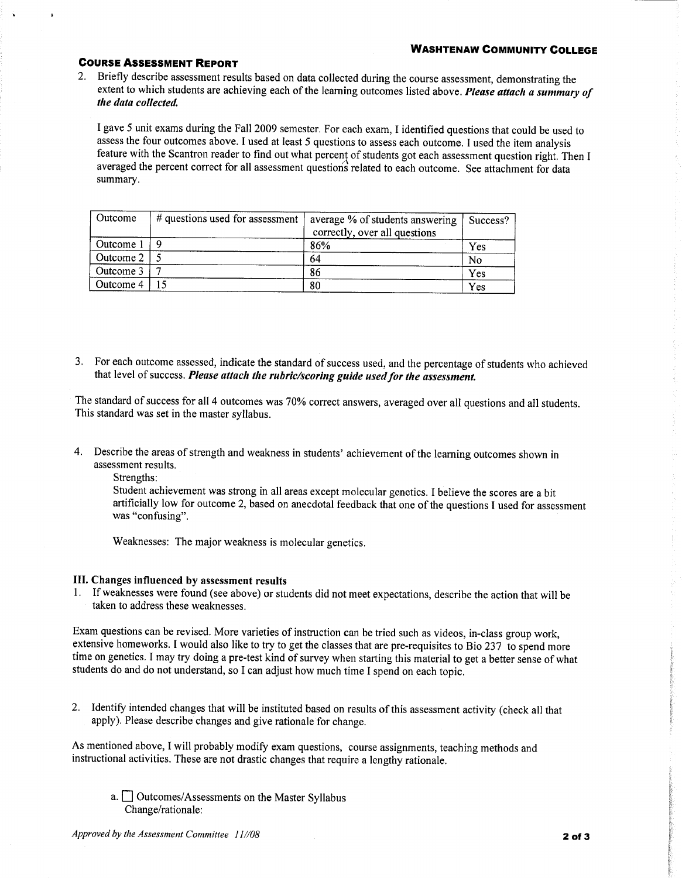#### **WASHTENAW COMMUNITY COLLEGE**

### **COURSE ASSESSMENT REPORT**

2. Briefly describe assessment results based on data collected during the course assessment, demonstrating the extent to which students are achieving each of the learning outcomes listed above. Please attach a summary of the data collected.

I gave 5 unit exams during the Fall 2009 semester. For each exam, I identified questions that could be used to assess the four outcomes above. I used at least 5 questions to assess each outcome. I used the item analysis feature with the Scantron reader to find out what percent of students got each assessment question right. Then I averaged the percent correct for all assessment questions related to each outcome. See attachment for data summary.

| Outcome   | $#$ questions used for assessment | average % of students answering<br>correctly, over all questions | Success? |
|-----------|-----------------------------------|------------------------------------------------------------------|----------|
| Outcome 1 |                                   | 86%                                                              | Yes      |
| Outcome 2 |                                   | 64                                                               | No       |
| Outcome 3 |                                   | 86                                                               | Yes      |
| Outcome 4 |                                   | 80                                                               | Yes      |

3. For each outcome assessed, indicate the standard of success used, and the percentage of students who achieved that level of success. Please attach the rubric/scoring guide used for the assessment.

The standard of success for all 4 outcomes was 70% correct answers, averaged over all questions and all students. This standard was set in the master syllabus.

4. Describe the areas of strength and weakness in students' achievement of the learning outcomes shown in assessment results.

Strengths:

Student achievement was strong in all areas except molecular genetics. I believe the scores are a bit artificially low for outcome 2, based on anecdotal feedback that one of the questions I used for assessment was "confusing".

Weaknesses: The major weakness is molecular genetics.

### III. Changes influenced by assessment results

1. If weaknesses were found (see above) or students did not meet expectations, describe the action that will be taken to address these weaknesses.

Exam questions can be revised. More varieties of instruction can be tried such as videos, in-class group work, extensive homeworks. I would also like to try to get the classes that are pre-requisites to Bio 237 to spend more time on genetics. I may try doing a pre-test kind of survey when starting this material to get a better sense of what students do and do not understand, so I can adjust how much time I spend on each topic.

2. Identify intended changes that will be instituted based on results of this assessment activity (check all that apply). Please describe changes and give rationale for change.

As mentioned above, I will probably modify exam questions, course assignments, teaching methods and instructional activities. These are not drastic changes that require a lengthy rationale.

a. <u>Outcomes</u>/Assessments on the Master Syllabus Change/rationale: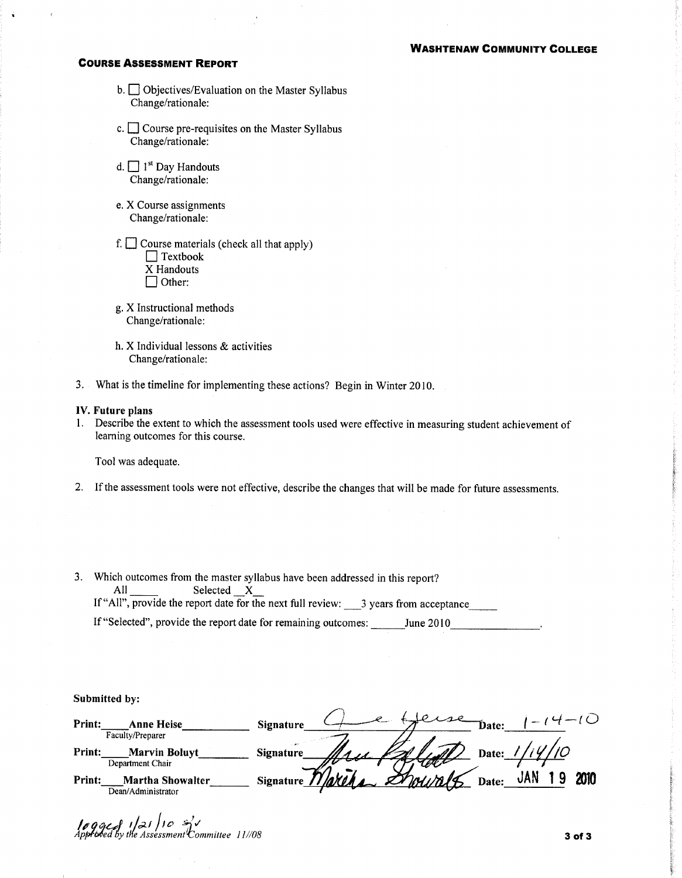#### **WASHTENAW COMMUNITY COLLEGE**

#### **COURSE ASSESSMENT REPORT**

- b. Objectives/Evaluation on the Master Syllabus Change/rationale:
- c.  $\Box$  Course pre-requisites on the Master Syllabus Change/rationale:
- d.  $\Box$  1<sup>st</sup> Day Handouts Change/rationale:
- e. X Course assignments Change/rationale:
- f.  $\Box$  Course materials (check all that apply)  $\Box$  Textbook X Handouts  $\Box$  Other:
- g. X Instructional methods Change/rationale:
- h. X Individual lessons & activities Change/rationale:
- 3. What is the timeline for implementing these actions? Begin in Winter 2010.

#### IV. Future plans

1. Describe the extent to which the assessment tools used were effective in measuring student achievement of learning outcomes for this course.

Tool was adequate.

- 2. If the assessment tools were not effective, describe the changes that will be made for future assessments.
- 3. Which outcomes from the master syllabus have been addressed in this report? Selected  $X_$ All If "All", provide the report date for the next full review:  $\frac{3}{2}$  years from acceptance

If "Selected", provide the report date for remaining outcomes: \_\_\_\_\_\_\_June 2010\_\_\_\_\_\_\_\_\_\_\_\_\_\_\_\_\_\_\_\_

Submitted by:

| Print:<br>Anne Heise<br>Faculty/Preparer           | Signature<br>Date:                               |
|----------------------------------------------------|--------------------------------------------------|
| Print:<br><b>Marvin Boluyt</b><br>Department Chair | <b>Signature</b><br>Date:                        |
| Print:<br>Martha Showalter<br>Dean/Administrator   | 2010<br>$D$ hain la<br><b>Signature</b><br>Date: |

3 of 3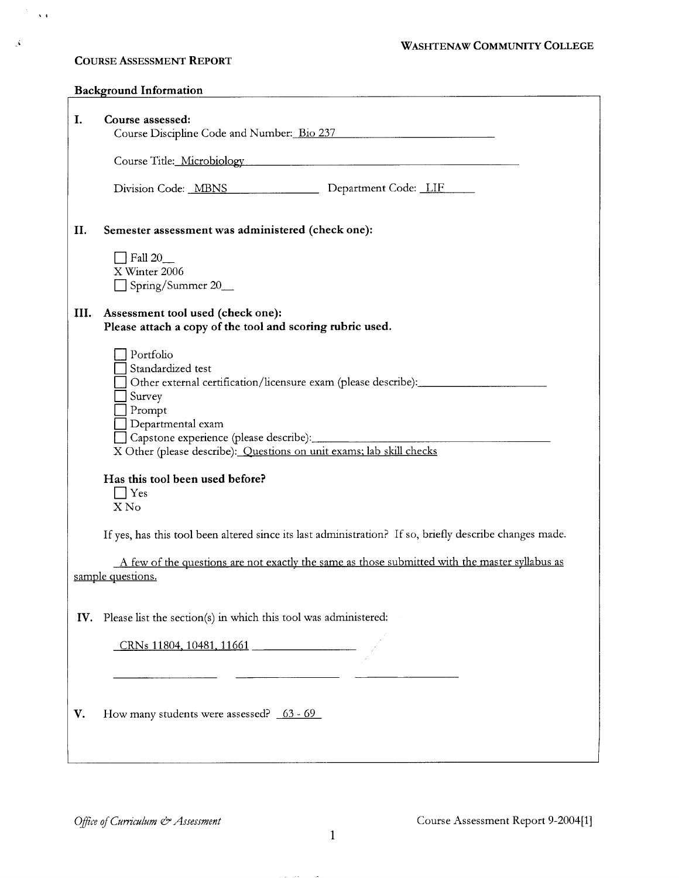### WASHTENAW COMMUNITY COLLEGE

# **COURSE ASSESSMENT REPORT**

 $\frac{1}{2} \frac{1}{2} \frac{1}{2} \frac{1}{2}$ 

 $\Delta$ 

|      | <b>Background Information</b>                                                                                                       |
|------|-------------------------------------------------------------------------------------------------------------------------------------|
| I.   | Course assessed:<br>Course Discipline Code and Number: Bio 237                                                                      |
|      | Course Title: Microbiology                                                                                                          |
|      | Department Code: LIF<br>Division Code: MBNS                                                                                         |
| II.  | Semester assessment was administered (check one):                                                                                   |
|      | $\Box$ Fall 20<br>X Winter 2006                                                                                                     |
|      | Spring/Summer 20_                                                                                                                   |
| III. | Assessment tool used (check one):<br>Please attach a copy of the tool and scoring rubric used.                                      |
|      | Portfolio<br>Standardized test                                                                                                      |
|      | Other external certification/licensure exam (please describe): __________________<br>Survey<br>Prompt                               |
|      | Departmental exam<br>Capstone experience (please describe):<br>X Other (please describe): Ouestions on unit exams; lab skill checks |
|      | Has this tool been used before?                                                                                                     |
|      | $\Box$ Yes<br>X No                                                                                                                  |
|      | If yes, has this tool been altered since its last administration? If so, briefly describe changes made.                             |
|      | A few of the questions are not exactly the same as those submitted with the master syllabus as<br>sample questions.                 |
|      |                                                                                                                                     |
| IV.  | Please list the section(s) in which this tool was administered:                                                                     |
|      | CRNs 11804, 10481, 11661                                                                                                            |
|      |                                                                                                                                     |
| V.   | How many students were assessed? 63 - 69                                                                                            |
|      |                                                                                                                                     |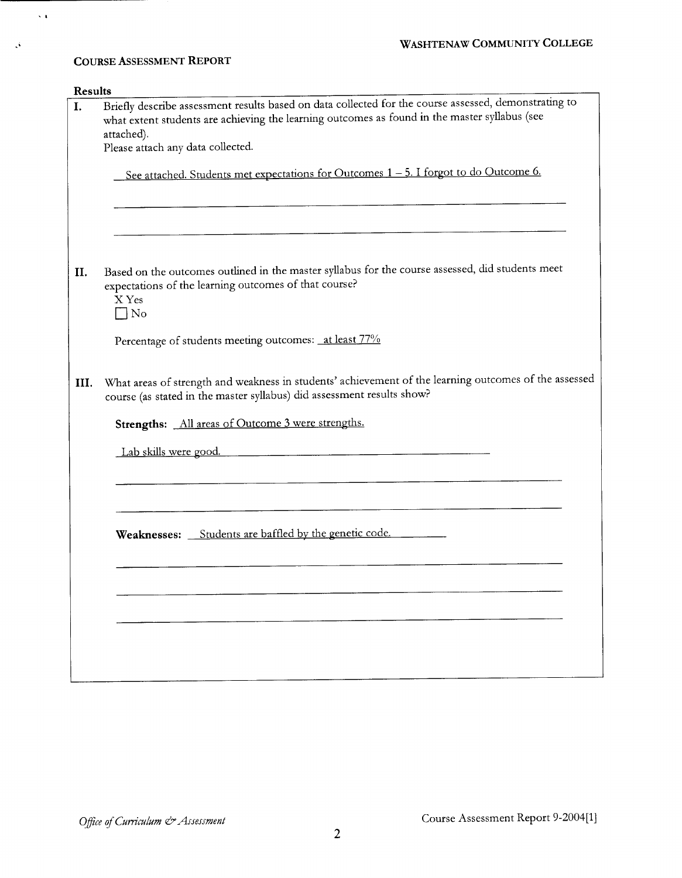|      | Briefly describe assessment results based on data collected for the course assessed, demonstrating to                                                                           |  |  |
|------|---------------------------------------------------------------------------------------------------------------------------------------------------------------------------------|--|--|
|      | what extent students are achieving the learning outcomes as found in the master syllabus (see                                                                                   |  |  |
|      | attached).                                                                                                                                                                      |  |  |
|      | Please attach any data collected.                                                                                                                                               |  |  |
|      | See attached. Students met expectations for Outcomes 1 - 5. I forgot to do Outcome 6.                                                                                           |  |  |
|      |                                                                                                                                                                                 |  |  |
|      | Based on the outcomes outlined in the master syllabus for the course assessed, did students meet<br>expectations of the learning outcomes of that course?<br>X Yes<br>$\Box$ No |  |  |
|      | Percentage of students meeting outcomes: at least 77%                                                                                                                           |  |  |
|      |                                                                                                                                                                                 |  |  |
| III. | course (as stated in the master syllabus) did assessment results show?                                                                                                          |  |  |
|      | Strengths: All areas of Outcome 3 were strengths.                                                                                                                               |  |  |
|      | Lab skills were good.                                                                                                                                                           |  |  |
|      |                                                                                                                                                                                 |  |  |
|      | Weaknesses: Students are baffled by the genetic code.                                                                                                                           |  |  |
|      |                                                                                                                                                                                 |  |  |
|      |                                                                                                                                                                                 |  |  |
|      | What areas of strength and weakness in students' achievement of the learning outcomes of the assessed                                                                           |  |  |
|      |                                                                                                                                                                                 |  |  |

 $\bar{\lambda}$  is

**COURSE ASSESSMENT REPORT** 

 $\hat{\mathcal{N}}$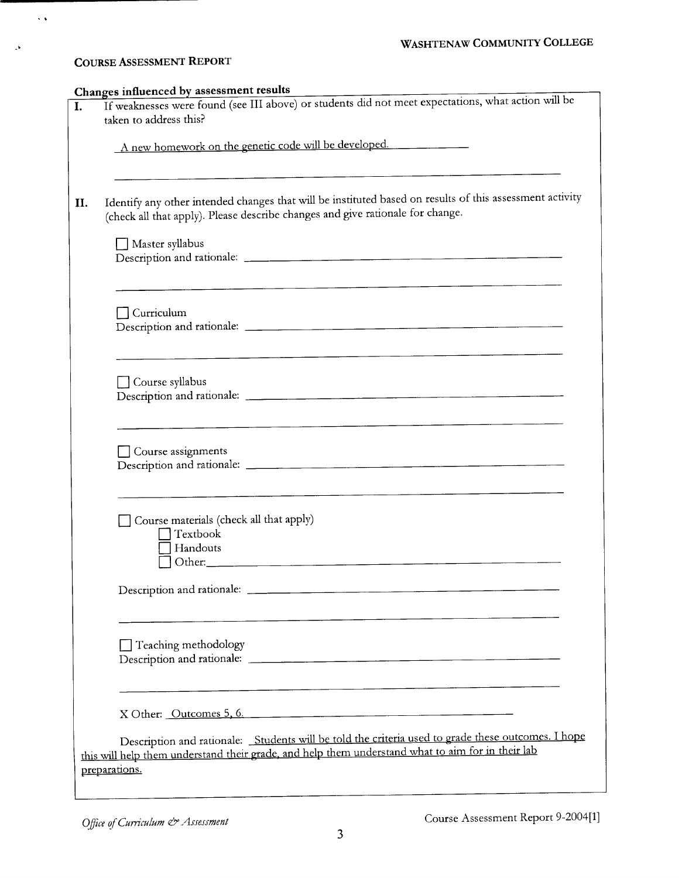# **COURSE ASSESSMENT REPORT**

 $\bar{\lambda}$  .

 $\mathcal{A}$ 

| If weaknesses were found (see III above) or students did not meet expectations, what action will be                                                                                                     |
|---------------------------------------------------------------------------------------------------------------------------------------------------------------------------------------------------------|
| taken to address this?                                                                                                                                                                                  |
| A new homework on the genetic code will be developed.                                                                                                                                                   |
|                                                                                                                                                                                                         |
| Identify any other intended changes that will be instituted based on results of this assessment activity<br>(check all that apply). Please describe changes and give rationale for change.              |
| Master syllabus                                                                                                                                                                                         |
| $\sqcap$ Curriculum                                                                                                                                                                                     |
| <u> 1980 - Andrea Angel, Angel, Angel, Angel, Angel, Angel, Angel, Angel, Angel, Angel, Angel, Angel, Angel, Ang</u>                                                                                    |
| Course syllabus                                                                                                                                                                                         |
| Course assignments                                                                                                                                                                                      |
| Course materials (check all that apply)<br>Textbook<br>Handouts                                                                                                                                         |
|                                                                                                                                                                                                         |
| $\Box$ Teaching methodology                                                                                                                                                                             |
| X Other: Outcomes 5, 6.                                                                                                                                                                                 |
| Description and rationale: Students will be told the criteria used to grade these outcomes. I hope<br>this will help them understand their grade, and help them understand what to aim for in their lab |